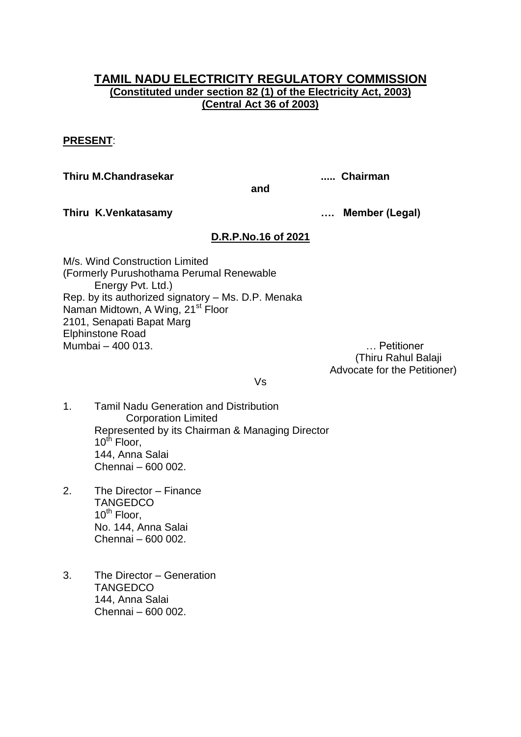# **TAMIL NADU ELECTRICITY REGULATORY COMMISSION (Constituted under section 82 (1) of the Electricity Act, 2003) (Central Act 36 of 2003)**

## **PRESENT**:

**Thiru M.Chandrasekar ..... Chairman**

**and**

**Thiru K.Venkatasamy …. Member (Legal)**

## **D.R.P.No.16 of 2021**

M/s. Wind Construction Limited (Formerly Purushothama Perumal Renewable Energy Pvt. Ltd.) Rep. by its authorized signatory – Ms. D.P. Menaka Naman Midtown, A Wing, 21<sup>st</sup> Floor 2101, Senapati Bapat Marg Elphinstone Road Mumbai – 400 013. … Petitioner

 (Thiru Rahul Balaji Advocate for the Petitioner)

Vs

- 1. Tamil Nadu Generation and Distribution Corporation Limited Represented by its Chairman & Managing Director 10<sup>th</sup> Floor, 144, Anna Salai Chennai – 600 002.
- 2. The Director Finance **TANGEDCO**  $10^{th}$  Floor, No. 144, Anna Salai Chennai – 600 002.
- 3. The Director Generation **TANGEDCO** 144, Anna Salai Chennai – 600 002.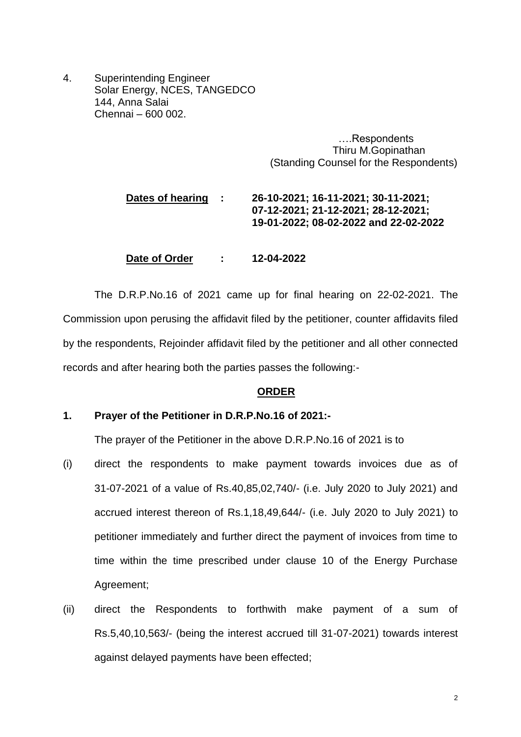4. Superintending Engineer Solar Energy, NCES, TANGEDCO 144, Anna Salai Chennai – 600 002.

> ….Respondents Thiru M.Gopinathan (Standing Counsel for the Respondents)

# **Dates of hearing : 26-10-2021; 16-11-2021; 30-11-2021; 07-12-2021; 21-12-2021; 28-12-2021; 19-01-2022; 08-02-2022 and 22-02-2022**

**Date of Order : 12-04-2022**

The D.R.P.No.16 of 2021 came up for final hearing on 22-02-2021. The Commission upon perusing the affidavit filed by the petitioner, counter affidavits filed by the respondents, Rejoinder affidavit filed by the petitioner and all other connected records and after hearing both the parties passes the following:-

#### **ORDER**

#### **1. Prayer of the Petitioner in D.R.P.No.16 of 2021:-**

The prayer of the Petitioner in the above D.R.P.No.16 of 2021 is to

- (i) direct the respondents to make payment towards invoices due as of 31-07-2021 of a value of Rs.40,85,02,740/- (i.e. July 2020 to July 2021) and accrued interest thereon of Rs.1,18,49,644/- (i.e. July 2020 to July 2021) to petitioner immediately and further direct the payment of invoices from time to time within the time prescribed under clause 10 of the Energy Purchase Agreement;
- (ii) direct the Respondents to forthwith make payment of a sum of Rs.5,40,10,563/- (being the interest accrued till 31-07-2021) towards interest against delayed payments have been effected;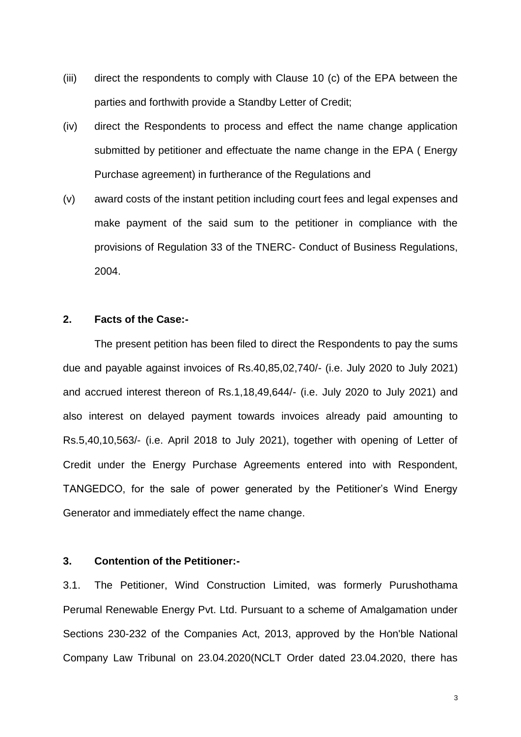- (iii) direct the respondents to comply with Clause 10 (c) of the EPA between the parties and forthwith provide a Standby Letter of Credit;
- (iv) direct the Respondents to process and effect the name change application submitted by petitioner and effectuate the name change in the EPA ( Energy Purchase agreement) in furtherance of the Regulations and
- (v) award costs of the instant petition including court fees and legal expenses and make payment of the said sum to the petitioner in compliance with the provisions of Regulation 33 of the TNERC- Conduct of Business Regulations, 2004.

## **2. Facts of the Case:-**

The present petition has been filed to direct the Respondents to pay the sums due and payable against invoices of Rs.40,85,02,740/- (i.e. July 2020 to July 2021) and accrued interest thereon of Rs.1,18,49,644/- (i.e. July 2020 to July 2021) and also interest on delayed payment towards invoices already paid amounting to Rs.5,40,10,563/- (i.e. April 2018 to July 2021), together with opening of Letter of Credit under the Energy Purchase Agreements entered into with Respondent, TANGEDCO, for the sale of power generated by the Petitioner's Wind Energy Generator and immediately effect the name change.

#### **3. Contention of the Petitioner:-**

3.1. The Petitioner, Wind Construction Limited, was formerly Purushothama Perumal Renewable Energy Pvt. Ltd. Pursuant to a scheme of Amalgamation under Sections 230-232 of the Companies Act, 2013, approved by the Hon'ble National Company Law Tribunal on 23.04.2020(NCLT Order dated 23.04.2020, there has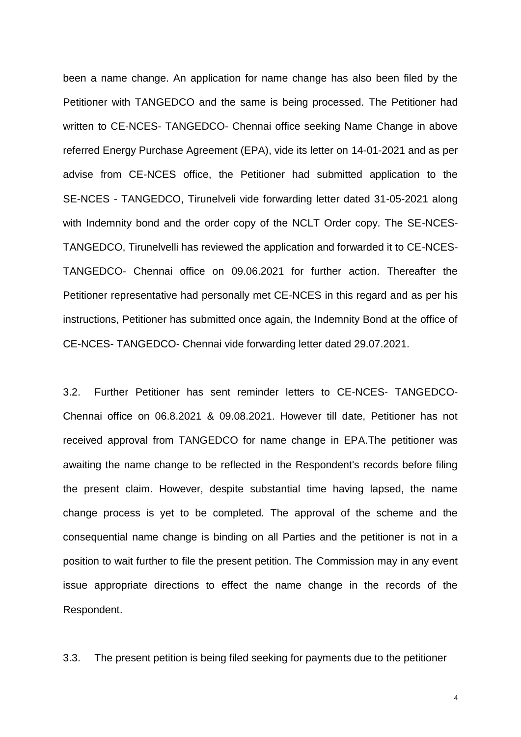been a name change. An application for name change has also been filed by the Petitioner with TANGEDCO and the same is being processed. The Petitioner had written to CE-NCES- TANGEDCO- Chennai office seeking Name Change in above referred Energy Purchase Agreement (EPA), vide its letter on 14-01-2021 and as per advise from CE-NCES office, the Petitioner had submitted application to the SE-NCES - TANGEDCO, Tirunelveli vide forwarding letter dated 31-05-2021 along with Indemnity bond and the order copy of the NCLT Order copy. The SE-NCES-TANGEDCO, Tirunelvelli has reviewed the application and forwarded it to CE-NCES-TANGEDCO- Chennai office on 09.06.2021 for further action. Thereafter the Petitioner representative had personally met CE-NCES in this regard and as per his instructions, Petitioner has submitted once again, the Indemnity Bond at the office of CE-NCES- TANGEDCO- Chennai vide forwarding letter dated 29.07.2021.

3.2. Further Petitioner has sent reminder letters to CE-NCES- TANGEDCO-Chennai office on 06.8.2021 & 09.08.2021. However till date, Petitioner has not received approval from TANGEDCO for name change in EPA.The petitioner was awaiting the name change to be reflected in the Respondent's records before filing the present claim. However, despite substantial time having lapsed, the name change process is yet to be completed. The approval of the scheme and the consequential name change is binding on all Parties and the petitioner is not in a position to wait further to file the present petition. The Commission may in any event issue appropriate directions to effect the name change in the records of the Respondent.

3.3. The present petition is being filed seeking for payments due to the petitioner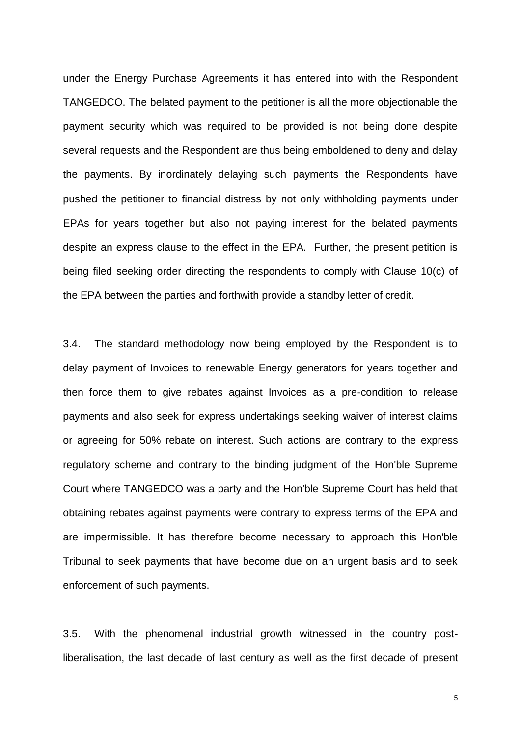under the Energy Purchase Agreements it has entered into with the Respondent TANGEDCO. The belated payment to the petitioner is all the more objectionable the payment security which was required to be provided is not being done despite several requests and the Respondent are thus being emboldened to deny and delay the payments. By inordinately delaying such payments the Respondents have pushed the petitioner to financial distress by not only withholding payments under EPAs for years together but also not paying interest for the belated payments despite an express clause to the effect in the EPA. Further, the present petition is being filed seeking order directing the respondents to comply with Clause 10(c) of the EPA between the parties and forthwith provide a standby letter of credit.

3.4. The standard methodology now being employed by the Respondent is to delay payment of Invoices to renewable Energy generators for years together and then force them to give rebates against Invoices as a pre-condition to release payments and also seek for express undertakings seeking waiver of interest claims or agreeing for 50% rebate on interest. Such actions are contrary to the express regulatory scheme and contrary to the binding judgment of the Hon'ble Supreme Court where TANGEDCO was a party and the Hon'ble Supreme Court has held that obtaining rebates against payments were contrary to express terms of the EPA and are impermissible. It has therefore become necessary to approach this Hon'ble Tribunal to seek payments that have become due on an urgent basis and to seek enforcement of such payments.

3.5. With the phenomenal industrial growth witnessed in the country postliberalisation, the last decade of last century as well as the first decade of present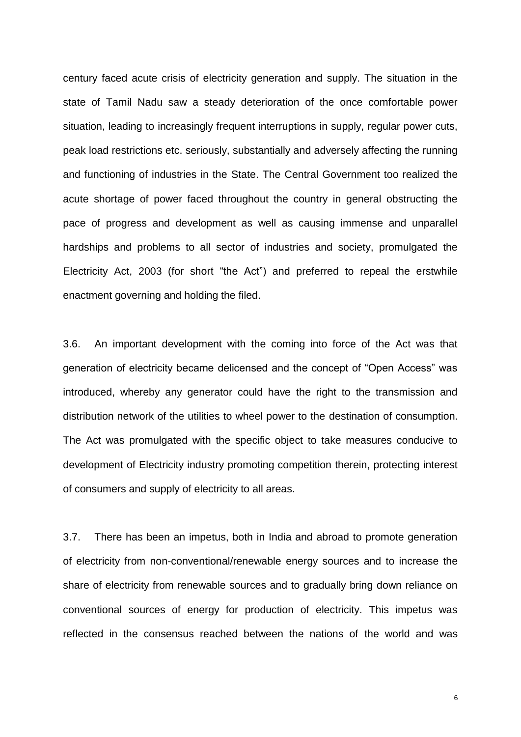century faced acute crisis of electricity generation and supply. The situation in the state of Tamil Nadu saw a steady deterioration of the once comfortable power situation, leading to increasingly frequent interruptions in supply, regular power cuts, peak load restrictions etc. seriously, substantially and adversely affecting the running and functioning of industries in the State. The Central Government too realized the acute shortage of power faced throughout the country in general obstructing the pace of progress and development as well as causing immense and unparallel hardships and problems to all sector of industries and society, promulgated the Electricity Act, 2003 (for short "the Act") and preferred to repeal the erstwhile enactment governing and holding the filed.

3.6. An important development with the coming into force of the Act was that generation of electricity became delicensed and the concept of "Open Access" was introduced, whereby any generator could have the right to the transmission and distribution network of the utilities to wheel power to the destination of consumption. The Act was promulgated with the specific object to take measures conducive to development of Electricity industry promoting competition therein, protecting interest of consumers and supply of electricity to all areas.

3.7. There has been an impetus, both in India and abroad to promote generation of electricity from non-conventional/renewable energy sources and to increase the share of electricity from renewable sources and to gradually bring down reliance on conventional sources of energy for production of electricity. This impetus was reflected in the consensus reached between the nations of the world and was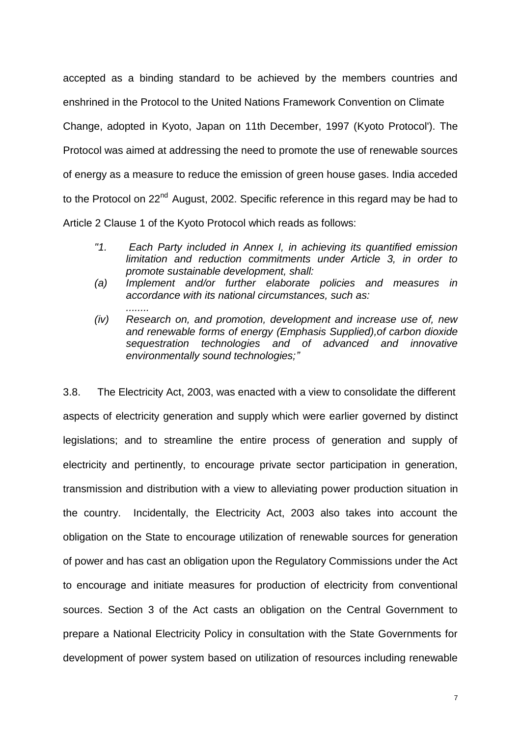accepted as a binding standard to be achieved by the members countries and enshrined in the Protocol to the United Nations Framework Convention on Climate Change, adopted in Kyoto, Japan on 11th December, 1997 (Kyoto Protocol'). The Protocol was aimed at addressing the need to promote the use of renewable sources of energy as a measure to reduce the emission of green house gases. India acceded to the Protocol on 22<sup>nd</sup> August, 2002. Specific reference in this regard may be had to Article 2 Clause 1 of the Kyoto Protocol which reads as follows:

- *"1. Each Party included in Annex I, in achieving its quantified emission limitation and reduction commitments under Article 3, in order to promote sustainable development, shall:*
- *(a) Implement and/or further elaborate policies and measures in accordance with its national circumstances, such as:*

*........*

*(iv) Research on, and promotion, development and increase use of, new and renewable forms of energy (Emphasis Supplied),of carbon dioxide sequestration technologies and of advanced and innovative environmentally sound technologies;"*

3.8. The Electricity Act, 2003, was enacted with a view to consolidate the different aspects of electricity generation and supply which were earlier governed by distinct legislations; and to streamline the entire process of generation and supply of electricity and pertinently, to encourage private sector participation in generation, transmission and distribution with a view to alleviating power production situation in the country. Incidentally, the Electricity Act, 2003 also takes into account the obligation on the State to encourage utilization of renewable sources for generation of power and has cast an obligation upon the Regulatory Commissions under the Act to encourage and initiate measures for production of electricity from conventional sources. Section 3 of the Act casts an obligation on the Central Government to prepare a National Electricity Policy in consultation with the State Governments for development of power system based on utilization of resources including renewable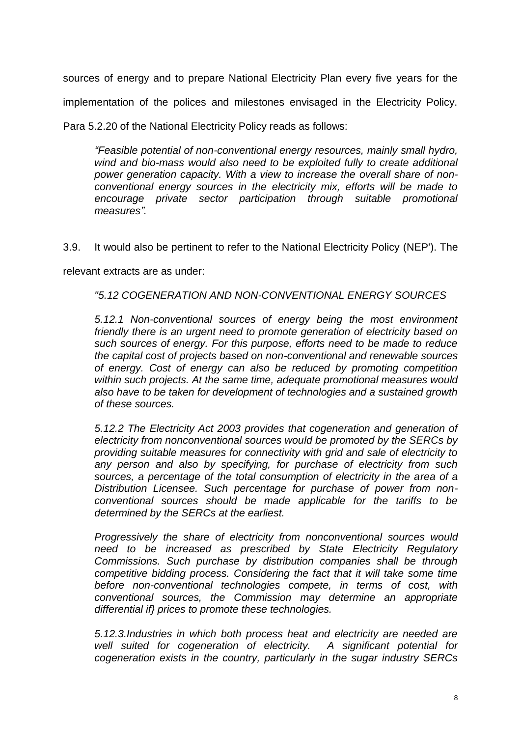sources of energy and to prepare National Electricity Plan every five years for the implementation of the polices and milestones envisaged in the Electricity Policy.

Para 5.2.20 of the National Electricity Policy reads as follows:

*"Feasible potential of non-conventional energy resources, mainly small hydro, wind and bio-mass would also need to be exploited fully to create additional power generation capacity. With a view to increase the overall share of nonconventional energy sources in the electricity mix, efforts will be made to encourage private sector participation through suitable promotional measures".* 

3.9. It would also be pertinent to refer to the National Electricity Policy (NEP'). The

relevant extracts are as under:

*"5.12 COGENERATION AND NON-CONVENTIONAL ENERGY SOURCES* 

*5.12.1 Non-conventional sources of energy being the most environment friendly there is an urgent need to promote generation of electricity based on such sources of energy. For this purpose, efforts need to be made to reduce the capital cost of projects based on non-conventional and renewable sources of energy. Cost of energy can also be reduced by promoting competition within such projects. At the same time, adequate promotional measures would also have to be taken for development of technologies and a sustained growth of these sources.* 

*5.12.2 The Electricity Act 2003 provides that cogeneration and generation of electricity from nonconventional sources would be promoted by the SERCs by providing suitable measures for connectivity with grid and sale of electricity to any person and also by specifying, for purchase of electricity from such sources, a percentage of the total consumption of electricity in the area of a Distribution Licensee. Such percentage for purchase of power from nonconventional sources should be made applicable for the tariffs to be determined by the SERCs at the earliest.* 

*Progressively the share of electricity from nonconventional sources would need to be increased as prescribed by State Electricity Regulatory Commissions. Such purchase by distribution companies shall be through competitive bidding process. Considering the fact that it will take some time before non-conventional technologies compete, in terms of cost, with conventional sources, the Commission may determine an appropriate differential if} prices to promote these technologies.* 

*5.12.3.Industries in which both process heat and electricity are needed are*  well suited for cogeneration of electricity. A significant potential for *cogeneration exists in the country, particularly in the sugar industry SERCs*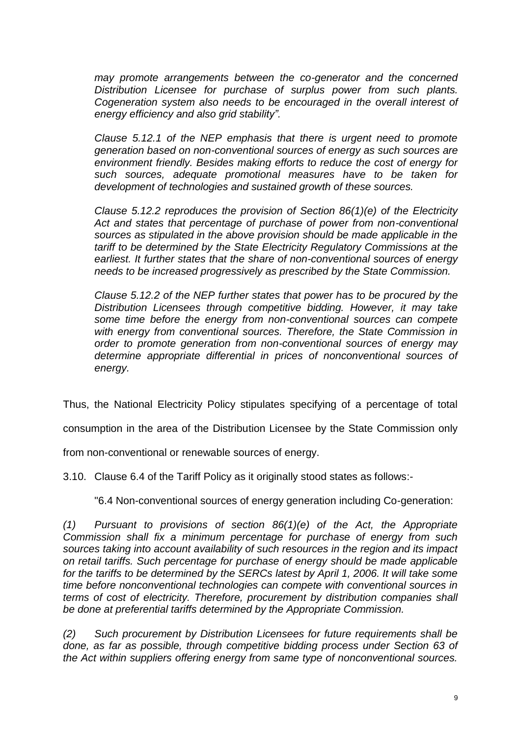*may promote arrangements between the co-generator and the concerned Distribution Licensee for purchase of surplus power from such plants. Cogeneration system also needs to be encouraged in the overall interest of energy efficiency and also grid stability".* 

*Clause 5.12.1 of the NEP emphasis that there is urgent need to promote generation based on non-conventional sources of energy as such sources are environment friendly. Besides making efforts to reduce the cost of energy for such sources, adequate promotional measures have to be taken for development of technologies and sustained growth of these sources.* 

*Clause 5.12.2 reproduces the provision of Section 86(1)(e) of the Electricity Act and states that percentage of purchase of power from non-conventional sources as stipulated in the above provision should be made applicable in the tariff to be determined by the State Electricity Regulatory Commissions at the earliest. It further states that the share of non-conventional sources of energy needs to be increased progressively as prescribed by the State Commission.* 

*Clause 5.12.2 of the NEP further states that power has to be procured by the Distribution Licensees through competitive bidding. However, it may take some time before the energy from non-conventional sources can compete with energy from conventional sources. Therefore, the State Commission in order to promote generation from non-conventional sources of energy may determine appropriate differential in prices of nonconventional sources of energy.*

Thus, the National Electricity Policy stipulates specifying of a percentage of total

consumption in the area of the Distribution Licensee by the State Commission only

from non-conventional or renewable sources of energy.

3.10. Clause 6.4 of the Tariff Policy as it originally stood states as follows:-

"6.4 Non-conventional sources of energy generation including Co-generation:

*(1) Pursuant to provisions of section 86(1)(e) of the Act, the Appropriate Commission shall fix a minimum percentage for purchase of energy from such sources taking into account availability of such resources in the region and its impact on retail tariffs. Such percentage for purchase of energy should be made applicable*  for the tariffs to be determined by the SERCs latest by April 1, 2006. It will take some *time before nonconventional technologies can compete with conventional sources in terms of cost of electricity. Therefore, procurement by distribution companies shall be done at preferential tariffs determined by the Appropriate Commission.* 

*(2) Such procurement by Distribution Licensees for future requirements shall be done, as far as possible, through competitive bidding process under Section 63 of the Act within suppliers offering energy from same type of nonconventional sources.*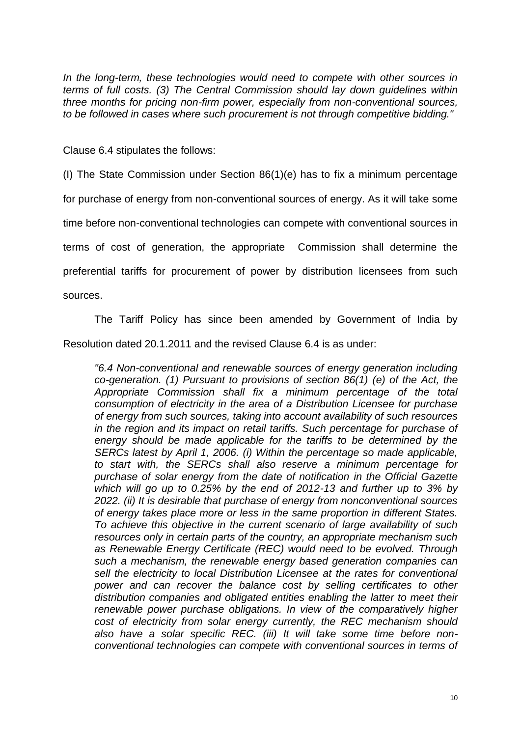In the long-term, these technologies would need to compete with other sources in *terms of full costs. (3) The Central Commission should lay down guidelines within three months for pricing non-firm power, especially from non-conventional sources, to be followed in cases where such procurement is not through competitive bidding."* 

Clause 6.4 stipulates the follows:

(I) The State Commission under Section 86(1)(e) has to fix a minimum percentage for purchase of energy from non-conventional sources of energy. As it will take some time before non-conventional technologies can compete with conventional sources in terms of cost of generation, the appropriate Commission shall determine the preferential tariffs for procurement of power by distribution licensees from such sources.

The Tariff Policy has since been amended by Government of India by Resolution dated 20.1.2011 and the revised Clause 6.4 is as under:

*"6.4 Non-conventional and renewable sources of energy generation including co-generation. (1) Pursuant to provisions of section 86(1) (e) of the Act, the Appropriate Commission shall fix a minimum percentage of the total consumption of electricity in the area of a Distribution Licensee for purchase of energy from such sources, taking into account availability of such resources in the region and its impact on retail tariffs. Such percentage for purchase of energy should be made applicable for the tariffs to be determined by the SERCs latest by April 1, 2006. (i) Within the percentage so made applicable, to start with, the SERCs shall also reserve a minimum percentage for purchase of solar energy from the date of notification in the Official Gazette which will go up to 0.25% by the end of 2012-13 and further up to 3% by 2022. (ii) It is desirable that purchase of energy from nonconventional sources of energy takes place more or less in the same proportion in different States. To achieve this objective in the current scenario of large availability of such resources only in certain parts of the country, an appropriate mechanism such as Renewable Energy Certificate (REC) would need to be evolved. Through such a mechanism, the renewable energy based generation companies can sell the electricity to local Distribution Licensee at the rates for conventional power and can recover the balance cost by selling certificates to other distribution companies and obligated entities enabling the latter to meet their renewable power purchase obligations. In view of the comparatively higher cost of electricity from solar energy currently, the REC mechanism should also have a solar specific REC. (iii) It will take some time before nonconventional technologies can compete with conventional sources in terms of*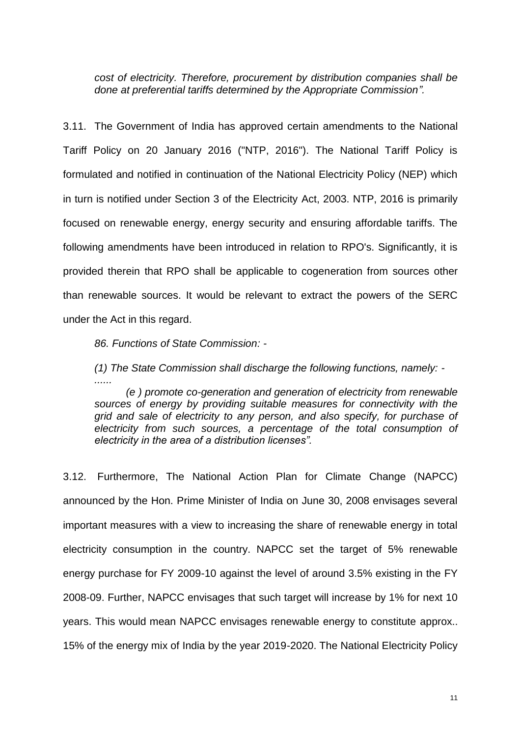*cost of electricity. Therefore, procurement by distribution companies shall be done at preferential tariffs determined by the Appropriate Commission".* 

3.11. The Government of India has approved certain amendments to the National Tariff Policy on 20 January 2016 ("NTP, 2016"). The National Tariff Policy is formulated and notified in continuation of the National Electricity Policy (NEP) which in turn is notified under Section 3 of the Electricity Act, 2003. NTP, 2016 is primarily focused on renewable energy, energy security and ensuring affordable tariffs. The following amendments have been introduced in relation to RPO's. Significantly, it is provided therein that RPO shall be applicable to cogeneration from sources other than renewable sources. It would be relevant to extract the powers of the SERC under the Act in this regard.

*86. Functions of State Commission: -*

*(1) The State Commission shall discharge the following functions, namely: - ......*

*(e ) promote co-generation and generation of electricity from renewable sources of energy by providing suitable measures for connectivity with the grid and sale of electricity to any person, and also specify, for purchase of electricity from such sources, a percentage of the total consumption of electricity in the area of a distribution licenses".*

3.12. Furthermore, The National Action Plan for Climate Change (NAPCC) announced by the Hon. Prime Minister of India on June 30, 2008 envisages several important measures with a view to increasing the share of renewable energy in total electricity consumption in the country. NAPCC set the target of 5% renewable energy purchase for FY 2009-10 against the level of around 3.5% existing in the FY 2008-09. Further, NAPCC envisages that such target will increase by 1% for next 10 years. This would mean NAPCC envisages renewable energy to constitute approx.. 15% of the energy mix of India by the year 2019-2020. The National Electricity Policy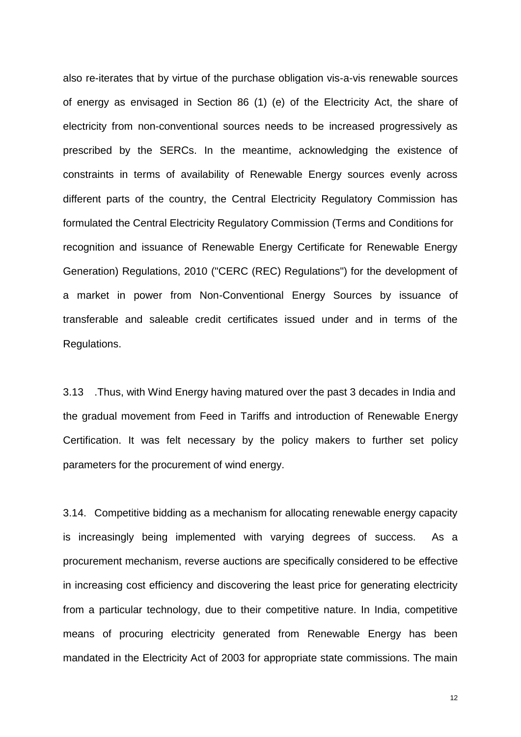also re-iterates that by virtue of the purchase obligation vis-a-vis renewable sources of energy as envisaged in Section 86 (1) (e) of the Electricity Act, the share of electricity from non-conventional sources needs to be increased progressively as prescribed by the SERCs. In the meantime, acknowledging the existence of constraints in terms of availability of Renewable Energy sources evenly across different parts of the country, the Central Electricity Regulatory Commission has formulated the Central Electricity Regulatory Commission (Terms and Conditions for recognition and issuance of Renewable Energy Certificate for Renewable Energy Generation) Regulations, 2010 ("CERC (REC) Regulations") for the development of a market in power from Non-Conventional Energy Sources by issuance of transferable and saleable credit certificates issued under and in terms of the Regulations.

3.13 .Thus, with Wind Energy having matured over the past 3 decades in India and the gradual movement from Feed in Tariffs and introduction of Renewable Energy Certification. It was felt necessary by the policy makers to further set policy parameters for the procurement of wind energy.

3.14. Competitive bidding as a mechanism for allocating renewable energy capacity is increasingly being implemented with varying degrees of success. As a procurement mechanism, reverse auctions are specifically considered to be effective in increasing cost efficiency and discovering the least price for generating electricity from a particular technology, due to their competitive nature. In India, competitive means of procuring electricity generated from Renewable Energy has been mandated in the Electricity Act of 2003 for appropriate state commissions. The main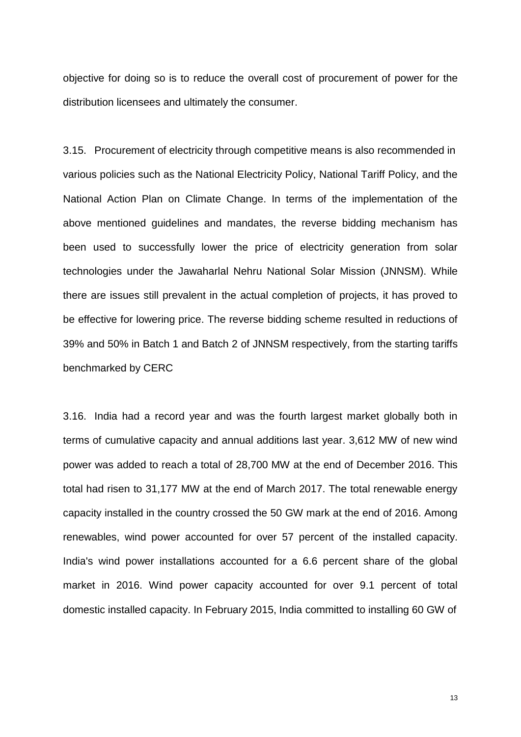objective for doing so is to reduce the overall cost of procurement of power for the distribution licensees and ultimately the consumer.

3.15. Procurement of electricity through competitive means is also recommended in various policies such as the National Electricity Policy, National Tariff Policy, and the National Action Plan on Climate Change. In terms of the implementation of the above mentioned guidelines and mandates, the reverse bidding mechanism has been used to successfully lower the price of electricity generation from solar technologies under the Jawaharlal Nehru National Solar Mission (JNNSM). While there are issues still prevalent in the actual completion of projects, it has proved to be effective for lowering price. The reverse bidding scheme resulted in reductions of 39% and 50% in Batch 1 and Batch 2 of JNNSM respectively, from the starting tariffs benchmarked by CERC

3.16. India had a record year and was the fourth largest market globally both in terms of cumulative capacity and annual additions last year. 3,612 MW of new wind power was added to reach a total of 28,700 MW at the end of December 2016. This total had risen to 31,177 MW at the end of March 2017. The total renewable energy capacity installed in the country crossed the 50 GW mark at the end of 2016. Among renewables, wind power accounted for over 57 percent of the installed capacity. India's wind power installations accounted for a 6.6 percent share of the global market in 2016. Wind power capacity accounted for over 9.1 percent of total domestic installed capacity. In February 2015, India committed to installing 60 GW of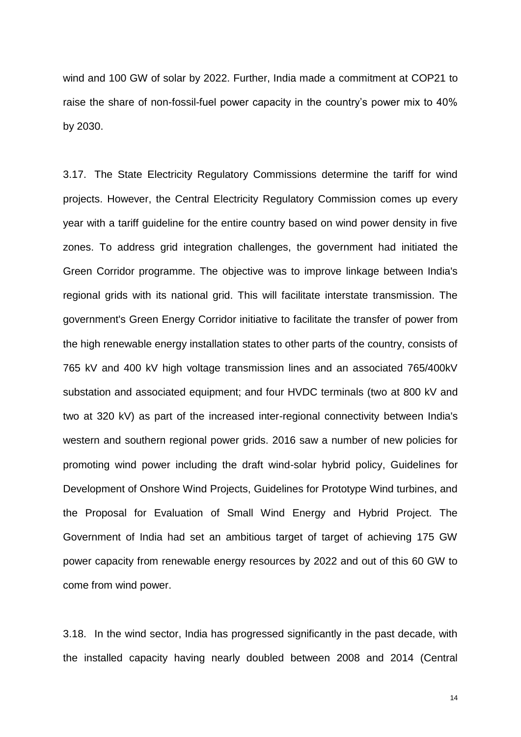wind and 100 GW of solar by 2022. Further, India made a commitment at COP21 to raise the share of non-fossil-fuel power capacity in the country's power mix to 40% by 2030.

3.17. The State Electricity Regulatory Commissions determine the tariff for wind projects. However, the Central Electricity Regulatory Commission comes up every year with a tariff guideline for the entire country based on wind power density in five zones. To address grid integration challenges, the government had initiated the Green Corridor programme. The objective was to improve linkage between India's regional grids with its national grid. This will facilitate interstate transmission. The government's Green Energy Corridor initiative to facilitate the transfer of power from the high renewable energy installation states to other parts of the country, consists of 765 kV and 400 kV high voltage transmission lines and an associated 765/400kV substation and associated equipment; and four HVDC terminals (two at 800 kV and two at 320 kV) as part of the increased inter-regional connectivity between India's western and southern regional power grids. 2016 saw a number of new policies for promoting wind power including the draft wind-solar hybrid policy, Guidelines for Development of Onshore Wind Projects, Guidelines for Prototype Wind turbines, and the Proposal for Evaluation of Small Wind Energy and Hybrid Project. The Government of India had set an ambitious target of target of achieving 175 GW power capacity from renewable energy resources by 2022 and out of this 60 GW to come from wind power.

3.18. In the wind sector, India has progressed significantly in the past decade, with the installed capacity having nearly doubled between 2008 and 2014 (Central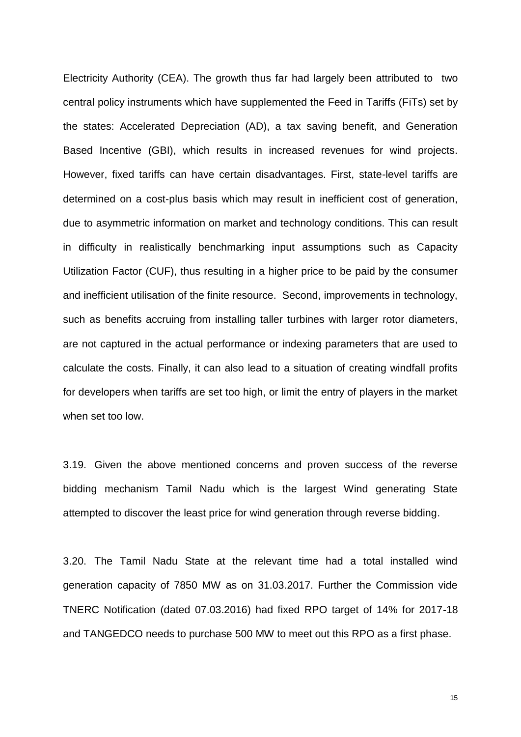Electricity Authority (CEA). The growth thus far had largely been attributed to two central policy instruments which have supplemented the Feed in Tariffs (FiTs) set by the states: Accelerated Depreciation (AD), a tax saving benefit, and Generation Based Incentive (GBI), which results in increased revenues for wind projects. However, fixed tariffs can have certain disadvantages. First, state-level tariffs are determined on a cost-plus basis which may result in inefficient cost of generation, due to asymmetric information on market and technology conditions. This can result in difficulty in realistically benchmarking input assumptions such as Capacity Utilization Factor (CUF), thus resulting in a higher price to be paid by the consumer and inefficient utilisation of the finite resource. Second, improvements in technology, such as benefits accruing from installing taller turbines with larger rotor diameters, are not captured in the actual performance or indexing parameters that are used to calculate the costs. Finally, it can also lead to a situation of creating windfall profits for developers when tariffs are set too high, or limit the entry of players in the market when set too low.

3.19. Given the above mentioned concerns and proven success of the reverse bidding mechanism Tamil Nadu which is the largest Wind generating State attempted to discover the least price for wind generation through reverse bidding.

3.20. The Tamil Nadu State at the relevant time had a total installed wind generation capacity of 7850 MW as on 31.03.2017. Further the Commission vide TNERC Notification (dated 07.03.2016) had fixed RPO target of 14% for 2017-18 and TANGEDCO needs to purchase 500 MW to meet out this RPO as a first phase.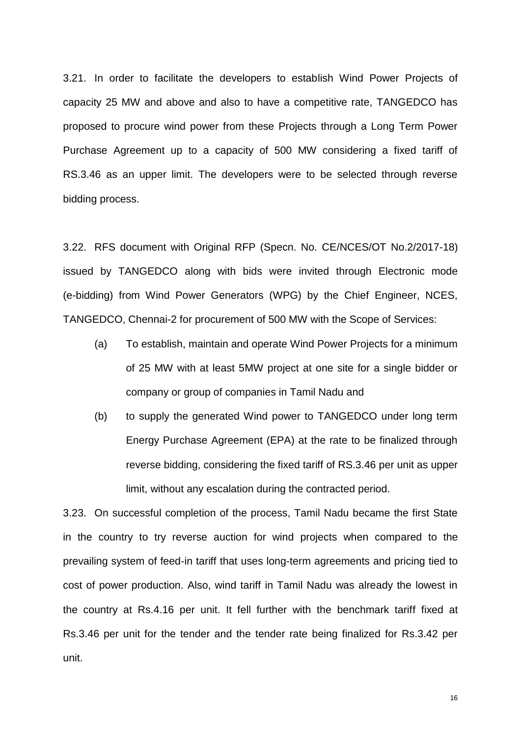3.21. In order to facilitate the developers to establish Wind Power Projects of capacity 25 MW and above and also to have a competitive rate, TANGEDCO has proposed to procure wind power from these Projects through a Long Term Power Purchase Agreement up to a capacity of 500 MW considering a fixed tariff of RS.3.46 as an upper limit. The developers were to be selected through reverse bidding process.

3.22. RFS document with Original RFP (Specn. No. CE/NCES/OT No.2/2017-18) issued by TANGEDCO along with bids were invited through Electronic mode (e-bidding) from Wind Power Generators (WPG) by the Chief Engineer, NCES, TANGEDCO, Chennai-2 for procurement of 500 MW with the Scope of Services:

- (a) To establish, maintain and operate Wind Power Projects for a minimum of 25 MW with at least 5MW project at one site for a single bidder or company or group of companies in Tamil Nadu and
- (b) to supply the generated Wind power to TANGEDCO under long term Energy Purchase Agreement (EPA) at the rate to be finalized through reverse bidding, considering the fixed tariff of RS.3.46 per unit as upper limit, without any escalation during the contracted period.

3.23. On successful completion of the process, Tamil Nadu became the first State in the country to try reverse auction for wind projects when compared to the prevailing system of feed-in tariff that uses long-term agreements and pricing tied to cost of power production. Also, wind tariff in Tamil Nadu was already the lowest in the country at Rs.4.16 per unit. It fell further with the benchmark tariff fixed at Rs.3.46 per unit for the tender and the tender rate being finalized for Rs.3.42 per unit.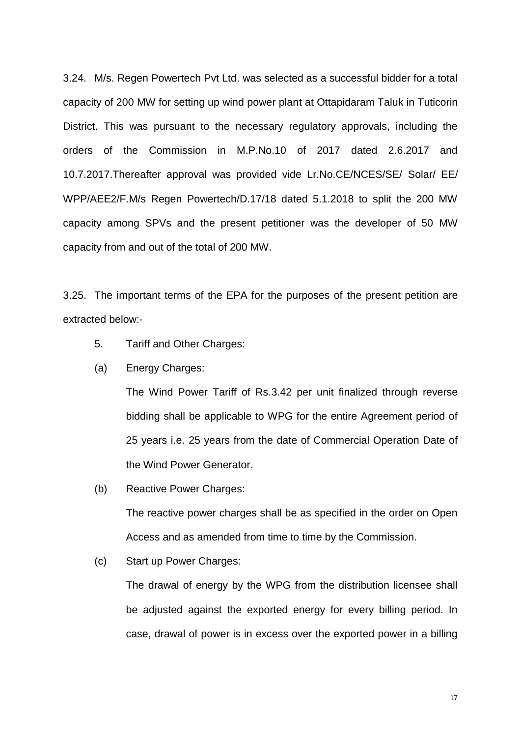3.24. M/s. Regen Powertech Pvt Ltd. was selected as a successful bidder for a total capacity of 200 MW for setting up wind power plant at Ottapidaram Taluk in Tuticorin District. This was pursuant to the necessary regulatory approvals, including the orders of the Commission in M.P.No.10 of 2017 dated 2.6.2017 and 10.7.2017.Thereafter approval was provided vide Lr.No.CE/NCES/SE/ Solar/ EE/ WPP/AEE2/F.M/s Regen Powertech/D.17/18 dated 5.1.2018 to split the 200 MW capacity among SPVs and the present petitioner was the developer of 50 MW capacity from and out of the total of 200 MW.

3.25. The important terms of the EPA for the purposes of the present petition are extracted below:-

- 5. Tariff and Other Charges:
- (a) Energy Charges:

The Wind Power Tariff of Rs.3.42 per unit finalized through reverse bidding shall be applicable to WPG for the entire Agreement period of 25 years i.e. 25 years from the date of Commercial Operation Date of the Wind Power Generator.

(b) Reactive Power Charges:

The reactive power charges shall be as specified in the order on Open Access and as amended from time to time by the Commission.

(c) Start up Power Charges:

The drawal of energy by the WPG from the distribution licensee shall be adjusted against the exported energy for every billing period. In case, drawal of power is in excess over the exported power in a billing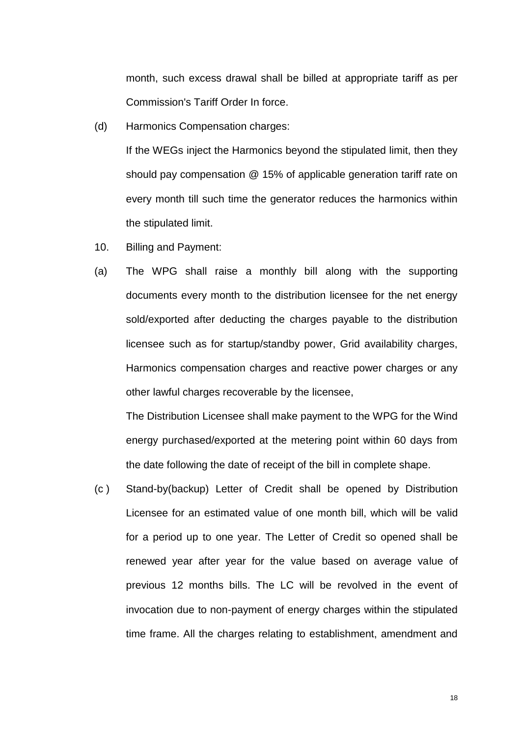month, such excess drawal shall be billed at appropriate tariff as per Commission's Tariff Order In force.

(d) Harmonics Compensation charges:

If the WEGs inject the Harmonics beyond the stipulated limit, then they should pay compensation @ 15% of applicable generation tariff rate on every month till such time the generator reduces the harmonics within the stipulated limit.

- 10. Billing and Payment:
- (a) The WPG shall raise a monthly bill along with the supporting documents every month to the distribution licensee for the net energy sold/exported after deducting the charges payable to the distribution licensee such as for startup/standby power, Grid availability charges, Harmonics compensation charges and reactive power charges or any other lawful charges recoverable by the licensee,

The Distribution Licensee shall make payment to the WPG for the Wind energy purchased/exported at the metering point within 60 days from the date following the date of receipt of the bill in complete shape.

(c ) Stand-by(backup) Letter of Credit shall be opened by Distribution Licensee for an estimated value of one month bill, which will be valid for a period up to one year. The Letter of Credit so opened shall be renewed year after year for the value based on average value of previous 12 months bills. The LC will be revolved in the event of invocation due to non-payment of energy charges within the stipulated time frame. All the charges relating to establishment, amendment and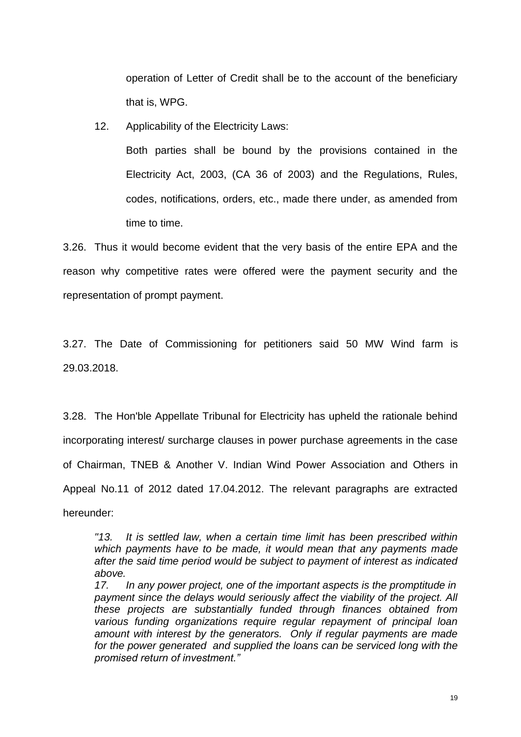operation of Letter of Credit shall be to the account of the beneficiary that is, WPG.

12. Applicability of the Electricity Laws:

Both parties shall be bound by the provisions contained in the Electricity Act, 2003, (CA 36 of 2003) and the Regulations, Rules, codes, notifications, orders, etc., made there under, as amended from time to time.

3.26. Thus it would become evident that the very basis of the entire EPA and the reason why competitive rates were offered were the payment security and the representation of prompt payment.

3.27. The Date of Commissioning for petitioners said 50 MW Wind farm is 29.03.2018.

3.28. The Hon'ble Appellate Tribunal for Electricity has upheld the rationale behind incorporating interest/ surcharge clauses in power purchase agreements in the case of Chairman, TNEB & Another V. Indian Wind Power Association and Others in Appeal No.11 of 2012 dated 17.04.2012. The relevant paragraphs are extracted hereunder:

*"13. It is settled law, when a certain time limit has been prescribed within which payments have to be made, it would mean that any payments made after the said time period would be subject to payment of interest as indicated above.* 

*17. In any power project, one of the important aspects is the promptitude in payment since the delays would seriously affect the viability of the project. All these projects are substantially funded through finances obtained from various funding organizations require regular repayment of principal loan amount with interest by the generators. Only if regular payments are made for the power generated and supplied the loans can be serviced long with the promised return of investment."*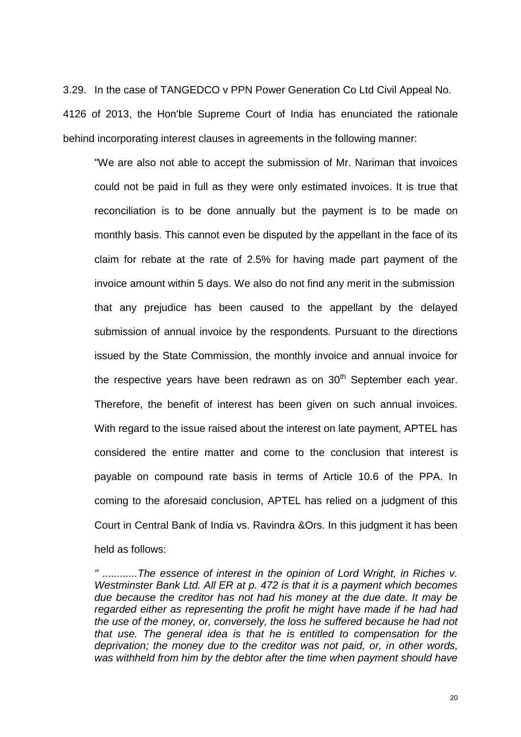3.29. In the case of TANGEDCO v PPN Power Generation Co Ltd Civil Appeal No. 4126 of 2013, the Hon'ble Supreme Court of India has enunciated the rationale behind incorporating interest clauses in agreements in the following manner:

"We are also not able to accept the submission of Mr. Nariman that invoices could not be paid in full as they were only estimated invoices. It is true that reconciliation is to be done annually but the payment is to be made on monthly basis. This cannot even be disputed by the appellant in the face of its claim for rebate at the rate of 2.5% for having made part payment of the invoice amount within 5 days. We also do not find any merit in the submission that any prejudice has been caused to the appellant by the delayed submission of annual invoice by the respondents. Pursuant to the directions issued by the State Commission, the monthly invoice and annual invoice for the respective vears have been redrawn as on  $30<sup>th</sup>$  September each vear. Therefore, the benefit of interest has been given on such annual invoices. With regard to the issue raised about the interest on late payment, APTEL has considered the entire matter and come to the conclusion that interest is payable on compound rate basis in terms of Article 10.6 of the PPA. In coming to the aforesaid conclusion, APTEL has relied on a judgment of this Court in Central Bank of India vs. Ravindra &Ors. In this judgment it has been held as follows:

*<sup>&</sup>quot; ............The essence of interest in the opinion of Lord Wright, in Riches v. Westminster Bank Ltd. All ER at p. 472 is that it is a payment which becomes due because the creditor has not had his money at the due date. It may be*  regarded either as representing the profit he might have made if he had had *the use of the money, or, conversely, the loss he suffered because he had not that use. The general idea is that he is entitled to compensation for the deprivation; the money due to the creditor was not paid, or, in other words, was withheld from him by the debtor after the time when payment should have*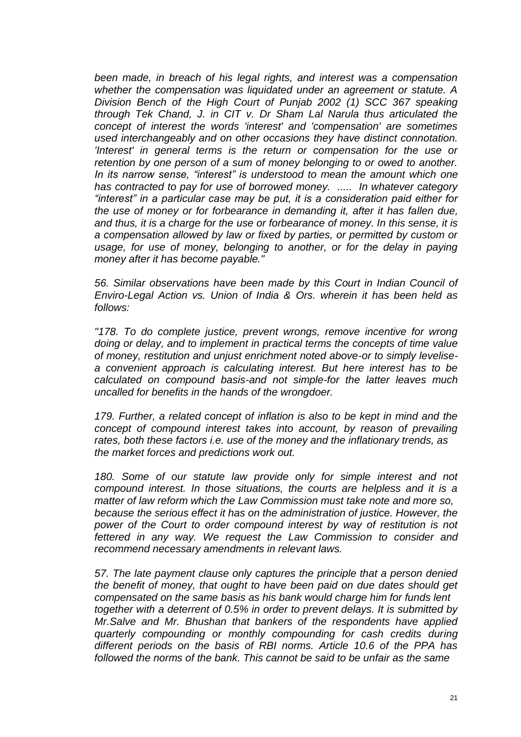*been made, in breach of his legal rights, and interest was a compensation whether the compensation was liquidated under an agreement or statute. A Division Bench of the High Court of Punjab 2002 (1) SCC 367 speaking through Tek Chand, J. in CIT v. Dr Sham Lal Narula thus articulated the concept of interest the words 'interest' and 'compensation' are sometimes used interchangeably and on other occasions they have distinct connotation. 'Interest' in general terms is the return or compensation for the use or retention by one person of a sum of money belonging to or owed to another. In its narrow sense, "interest" is understood to mean the amount which one has contracted to pay for use of borrowed money. ..... In whatever category "interest" in a particular case may be put, it is a consideration paid either for the use of money or for forbearance in demanding it, after it has fallen due, and thus, it is a charge for the use or forbearance of money. In this sense, it is a compensation allowed by law or fixed by parties, or permitted by custom or*  usage, for use of money, belonging to another, or for the delay in paying *money after it has become payable."* 

*56. Similar observations have been made by this Court in Indian Council of Enviro-Legal Action vs. Union of India & Ors. wherein it has been held as follows:* 

*"178. To do complete justice, prevent wrongs, remove incentive for wrong doing or delay, and to implement in practical terms the concepts of time value of money, restitution and unjust enrichment noted above-or to simply levelisea convenient approach is calculating interest. But here interest has to be calculated on compound basis-and not simple-for the latter leaves much uncalled for benefits in the hands of the wrongdoer.* 

*179. Further, a related concept of inflation is also to be kept in mind and the concept of compound interest takes into account, by reason of prevailing rates, both these factors i.e. use of the money and the inflationary trends, as the market forces and predictions work out.* 

*180. Some of our statute law provide only for simple interest and not compound interest. In those situations, the courts are helpless and it is a matter of law reform which the Law Commission must take note and more so, because the serious effect it has on the administration of justice. However, the power of the Court to order compound interest by way of restitution is not fettered in any way. We request the Law Commission to consider and recommend necessary amendments in relevant laws.* 

*57. The late payment clause only captures the principle that a person denied the benefit of money, that ought to have been paid on due dates should get compensated on the same basis as his bank would charge him for funds lent together with a deterrent of 0.5% in order to prevent delays. It is submitted by Mr.Salve and Mr. Bhushan that bankers of the respondents have applied quarterly compounding or monthly compounding for cash credits during different periods on the basis of RBI norms. Article 10.6 of the PPA has followed the norms of the bank. This cannot be said to be unfair as the same*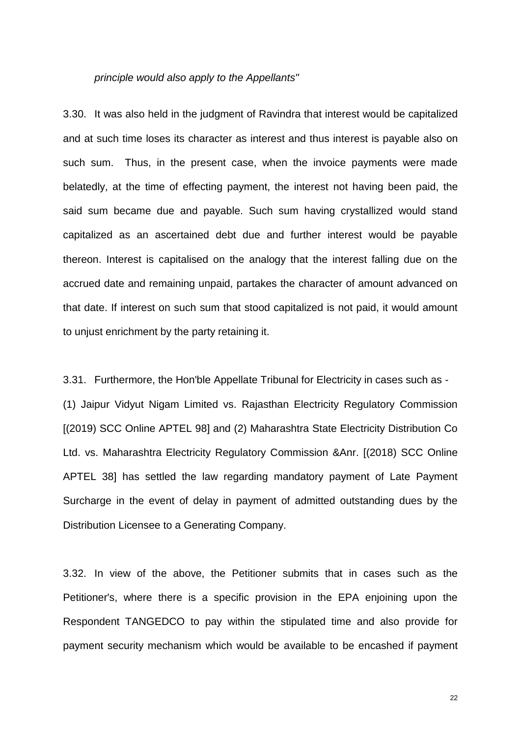#### *principle would also apply to the Appellants"*

3.30. It was also held in the judgment of Ravindra that interest would be capitalized and at such time loses its character as interest and thus interest is payable also on such sum. Thus, in the present case, when the invoice payments were made belatedly, at the time of effecting payment, the interest not having been paid, the said sum became due and payable. Such sum having crystallized would stand capitalized as an ascertained debt due and further interest would be payable thereon. Interest is capitalised on the analogy that the interest falling due on the accrued date and remaining unpaid, partakes the character of amount advanced on that date. If interest on such sum that stood capitalized is not paid, it would amount to unjust enrichment by the party retaining it.

3.31. Furthermore, the Hon'ble Appellate Tribunal for Electricity in cases such as - (1) Jaipur Vidyut Nigam Limited vs. Rajasthan Electricity Regulatory Commission [(2019) SCC Online APTEL 98] and (2) Maharashtra State Electricity Distribution Co Ltd. vs. Maharashtra Electricity Regulatory Commission &Anr. [(2018) SCC Online APTEL 38] has settled the law regarding mandatory payment of Late Payment Surcharge in the event of delay in payment of admitted outstanding dues by the Distribution Licensee to a Generating Company.

3.32. In view of the above, the Petitioner submits that in cases such as the Petitioner's, where there is a specific provision in the EPA enjoining upon the Respondent TANGEDCO to pay within the stipulated time and also provide for payment security mechanism which would be available to be encashed if payment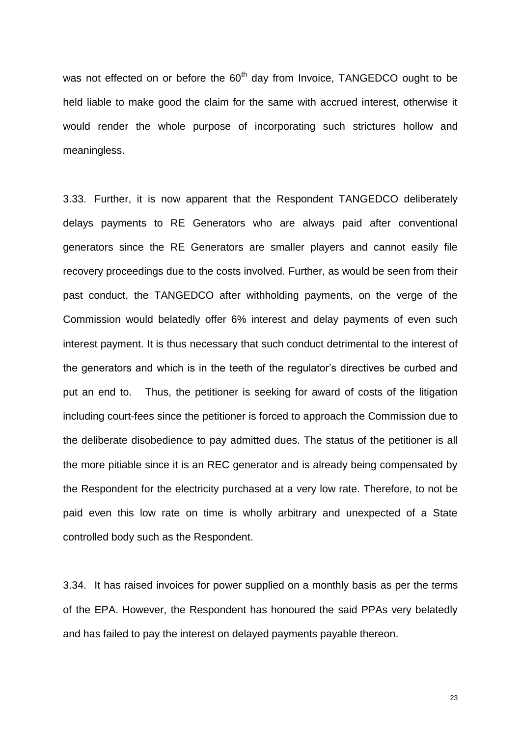was not effected on or before the 60<sup>th</sup> day from Invoice, TANGEDCO ought to be held liable to make good the claim for the same with accrued interest, otherwise it would render the whole purpose of incorporating such strictures hollow and meaningless.

3.33. Further, it is now apparent that the Respondent TANGEDCO deliberately delays payments to RE Generators who are always paid after conventional generators since the RE Generators are smaller players and cannot easily file recovery proceedings due to the costs involved. Further, as would be seen from their past conduct, the TANGEDCO after withholding payments, on the verge of the Commission would belatedly offer 6% interest and delay payments of even such interest payment. It is thus necessary that such conduct detrimental to the interest of the generators and which is in the teeth of the regulator's directives be curbed and put an end to. Thus, the petitioner is seeking for award of costs of the litigation including court-fees since the petitioner is forced to approach the Commission due to the deliberate disobedience to pay admitted dues. The status of the petitioner is all the more pitiable since it is an REC generator and is already being compensated by the Respondent for the electricity purchased at a very low rate. Therefore, to not be paid even this low rate on time is wholly arbitrary and unexpected of a State controlled body such as the Respondent.

3.34. It has raised invoices for power supplied on a monthly basis as per the terms of the EPA. However, the Respondent has honoured the said PPAs very belatedly and has failed to pay the interest on delayed payments payable thereon.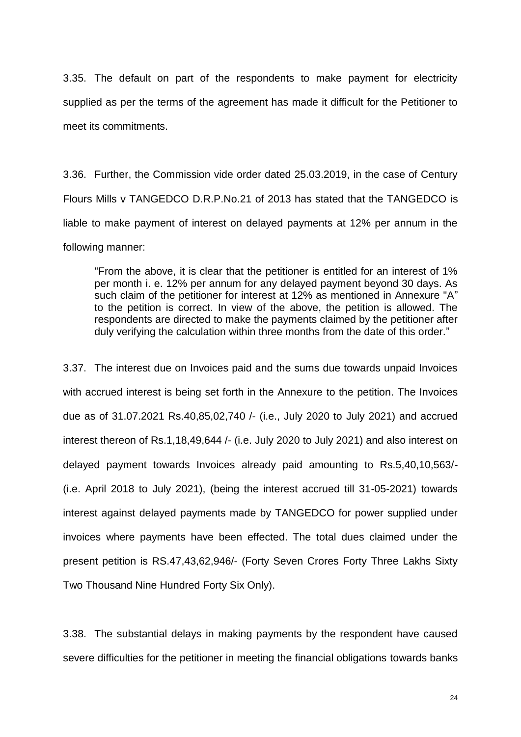3.35. The default on part of the respondents to make payment for electricity supplied as per the terms of the agreement has made it difficult for the Petitioner to meet its commitments.

3.36. Further, the Commission vide order dated 25.03.2019, in the case of Century Flours Mills v TANGEDCO D.R.P.No.21 of 2013 has stated that the TANGEDCO is liable to make payment of interest on delayed payments at 12% per annum in the following manner:

"From the above, it is clear that the petitioner is entitled for an interest of 1% per month i. e. 12% per annum for any delayed payment beyond 30 days. As such claim of the petitioner for interest at 12% as mentioned in Annexure "A" to the petition is correct. In view of the above, the petition is allowed. The respondents are directed to make the payments claimed by the petitioner after duly verifying the calculation within three months from the date of this order."

3.37. The interest due on Invoices paid and the sums due towards unpaid Invoices with accrued interest is being set forth in the Annexure to the petition. The Invoices due as of 31.07.2021 Rs.40,85,02,740 /- (i.e., July 2020 to July 2021) and accrued interest thereon of Rs.1,18,49,644 /- (i.e. July 2020 to July 2021) and also interest on delayed payment towards Invoices already paid amounting to Rs.5,40,10,563/- (i.e. April 2018 to July 2021), (being the interest accrued till 31-05-2021) towards interest against delayed payments made by TANGEDCO for power supplied under invoices where payments have been effected. The total dues claimed under the present petition is RS.47,43,62,946/- (Forty Seven Crores Forty Three Lakhs Sixty Two Thousand Nine Hundred Forty Six Only).

3.38. The substantial delays in making payments by the respondent have caused severe difficulties for the petitioner in meeting the financial obligations towards banks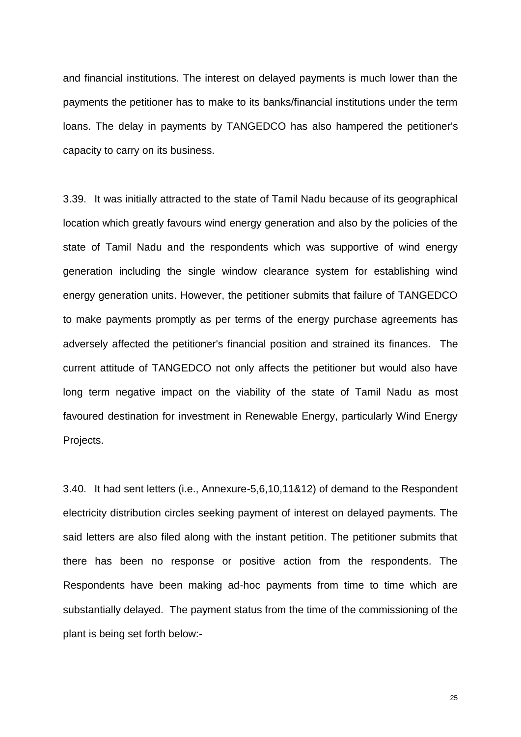and financial institutions. The interest on delayed payments is much lower than the payments the petitioner has to make to its banks/financial institutions under the term loans. The delay in payments by TANGEDCO has also hampered the petitioner's capacity to carry on its business.

3.39. It was initially attracted to the state of Tamil Nadu because of its geographical location which greatly favours wind energy generation and also by the policies of the state of Tamil Nadu and the respondents which was supportive of wind energy generation including the single window clearance system for establishing wind energy generation units. However, the petitioner submits that failure of TANGEDCO to make payments promptly as per terms of the energy purchase agreements has adversely affected the petitioner's financial position and strained its finances. The current attitude of TANGEDCO not only affects the petitioner but would also have long term negative impact on the viability of the state of Tamil Nadu as most favoured destination for investment in Renewable Energy, particularly Wind Energy Projects.

3.40. It had sent letters (i.e., Annexure-5,6,10,11&12) of demand to the Respondent electricity distribution circles seeking payment of interest on delayed payments. The said letters are also filed along with the instant petition. The petitioner submits that there has been no response or positive action from the respondents. The Respondents have been making ad-hoc payments from time to time which are substantially delayed. The payment status from the time of the commissioning of the plant is being set forth below:-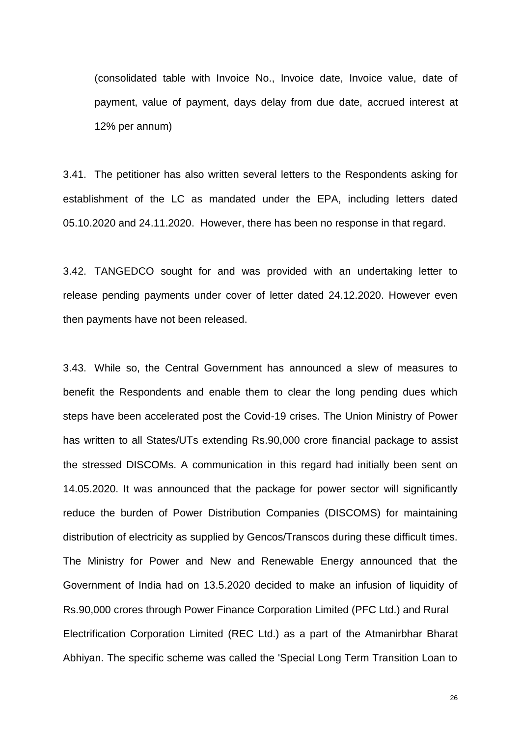(consolidated table with Invoice No., Invoice date, Invoice value, date of payment, value of payment, days delay from due date, accrued interest at 12% per annum)

3.41. The petitioner has also written several letters to the Respondents asking for establishment of the LC as mandated under the EPA, including letters dated 05.10.2020 and 24.11.2020. However, there has been no response in that regard.

3.42. TANGEDCO sought for and was provided with an undertaking letter to release pending payments under cover of letter dated 24.12.2020. However even then payments have not been released.

3.43. While so, the Central Government has announced a slew of measures to benefit the Respondents and enable them to clear the long pending dues which steps have been accelerated post the Covid-19 crises. The Union Ministry of Power has written to all States/UTs extending Rs.90,000 crore financial package to assist the stressed DISCOMs. A communication in this regard had initially been sent on 14.05.2020. It was announced that the package for power sector will significantly reduce the burden of Power Distribution Companies (DISCOMS) for maintaining distribution of electricity as supplied by Gencos/Transcos during these difficult times. The Ministry for Power and New and Renewable Energy announced that the Government of India had on 13.5.2020 decided to make an infusion of liquidity of Rs.90,000 crores through Power Finance Corporation Limited (PFC Ltd.) and Rural Electrification Corporation Limited (REC Ltd.) as a part of the Atmanirbhar Bharat Abhiyan. The specific scheme was called the 'Special Long Term Transition Loan to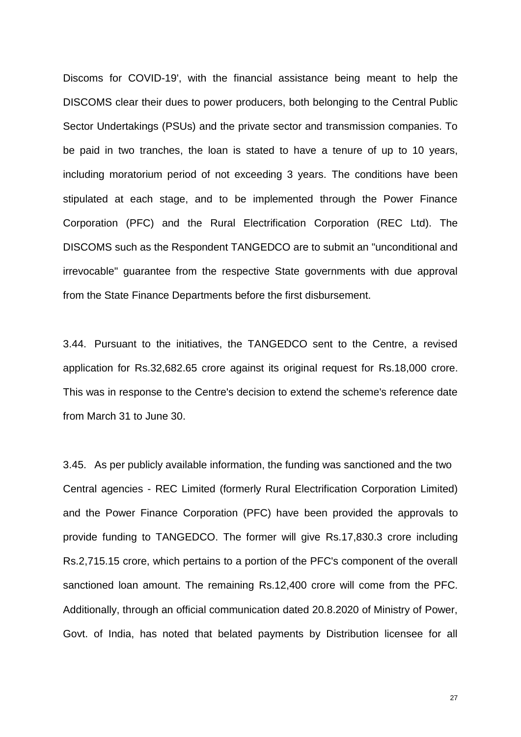Discoms for COVID-19', with the financial assistance being meant to help the DISCOMS clear their dues to power producers, both belonging to the Central Public Sector Undertakings (PSUs) and the private sector and transmission companies. To be paid in two tranches, the loan is stated to have a tenure of up to 10 years, including moratorium period of not exceeding 3 years. The conditions have been stipulated at each stage, and to be implemented through the Power Finance Corporation (PFC) and the Rural Electrification Corporation (REC Ltd). The DISCOMS such as the Respondent TANGEDCO are to submit an "unconditional and irrevocable" guarantee from the respective State governments with due approval from the State Finance Departments before the first disbursement.

3.44. Pursuant to the initiatives, the TANGEDCO sent to the Centre, a revised application for Rs.32,682.65 crore against its original request for Rs.18,000 crore. This was in response to the Centre's decision to extend the scheme's reference date from March 31 to June 30.

3.45. As per publicly available information, the funding was sanctioned and the two Central agencies - REC Limited (formerly Rural Electrification Corporation Limited) and the Power Finance Corporation (PFC) have been provided the approvals to provide funding to TANGEDCO. The former will give Rs.17,830.3 crore including Rs.2,715.15 crore, which pertains to a portion of the PFC's component of the overall sanctioned loan amount. The remaining Rs.12,400 crore will come from the PFC. Additionally, through an official communication dated 20.8.2020 of Ministry of Power, Govt. of India, has noted that belated payments by Distribution licensee for all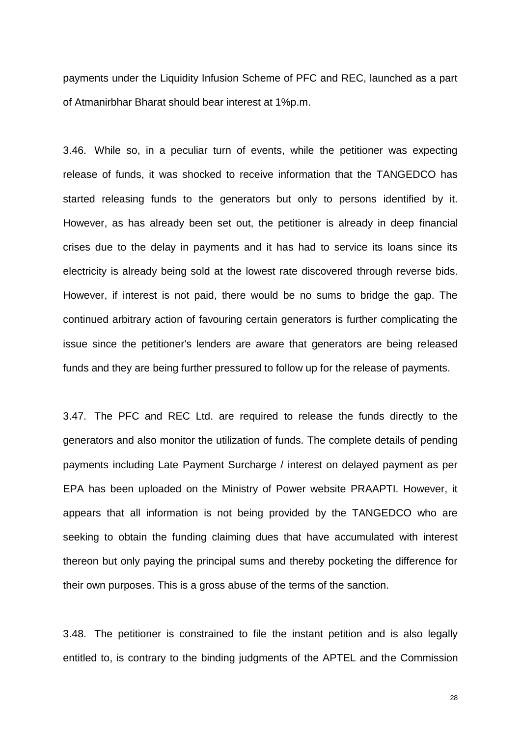payments under the Liquidity Infusion Scheme of PFC and REC, launched as a part of Atmanirbhar Bharat should bear interest at 1%p.m.

3.46. While so, in a peculiar turn of events, while the petitioner was expecting release of funds, it was shocked to receive information that the TANGEDCO has started releasing funds to the generators but only to persons identified by it. However, as has already been set out, the petitioner is already in deep financial crises due to the delay in payments and it has had to service its loans since its electricity is already being sold at the lowest rate discovered through reverse bids. However, if interest is not paid, there would be no sums to bridge the gap. The continued arbitrary action of favouring certain generators is further complicating the issue since the petitioner's lenders are aware that generators are being released funds and they are being further pressured to follow up for the release of payments.

3.47. The PFC and REC Ltd. are required to release the funds directly to the generators and also monitor the utilization of funds. The complete details of pending payments including Late Payment Surcharge / interest on delayed payment as per EPA has been uploaded on the Ministry of Power website PRAAPTI. However, it appears that all information is not being provided by the TANGEDCO who are seeking to obtain the funding claiming dues that have accumulated with interest thereon but only paying the principal sums and thereby pocketing the difference for their own purposes. This is a gross abuse of the terms of the sanction.

3.48. The petitioner is constrained to file the instant petition and is also legally entitled to, is contrary to the binding judgments of the APTEL and the Commission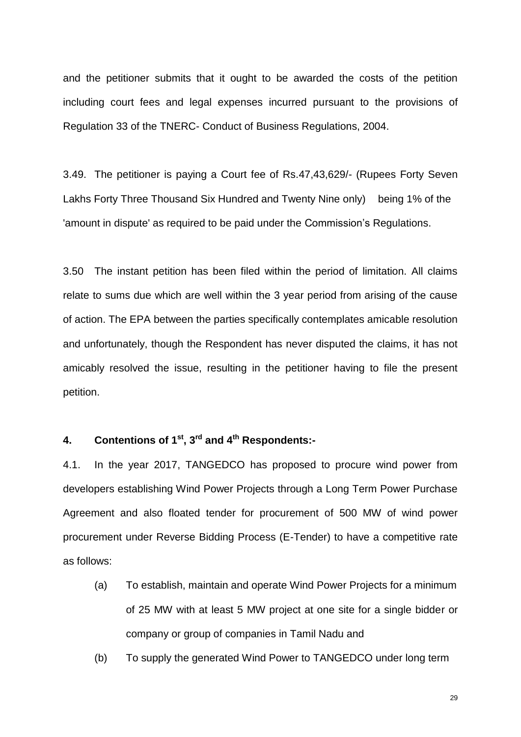and the petitioner submits that it ought to be awarded the costs of the petition including court fees and legal expenses incurred pursuant to the provisions of Regulation 33 of the TNERC- Conduct of Business Regulations, 2004.

3.49. The petitioner is paying a Court fee of Rs.47,43,629/- (Rupees Forty Seven Lakhs Forty Three Thousand Six Hundred and Twenty Nine only) being 1% of the 'amount in dispute' as required to be paid under the Commission's Regulations.

3.50 The instant petition has been filed within the period of limitation. All claims relate to sums due which are well within the 3 year period from arising of the cause of action. The EPA between the parties specifically contemplates amicable resolution and unfortunately, though the Respondent has never disputed the claims, it has not amicably resolved the issue, resulting in the petitioner having to file the present petition.

# **4. Contentions of 1st, 3rd and 4th Respondents:-**

4.1. In the year 2017, TANGEDCO has proposed to procure wind power from developers establishing Wind Power Projects through a Long Term Power Purchase Agreement and also floated tender for procurement of 500 MW of wind power procurement under Reverse Bidding Process (E-Tender) to have a competitive rate as follows:

- (a) To establish, maintain and operate Wind Power Projects for a minimum of 25 MW with at least 5 MW project at one site for a single bidder or company or group of companies in Tamil Nadu and
- (b) To supply the generated Wind Power to TANGEDCO under long term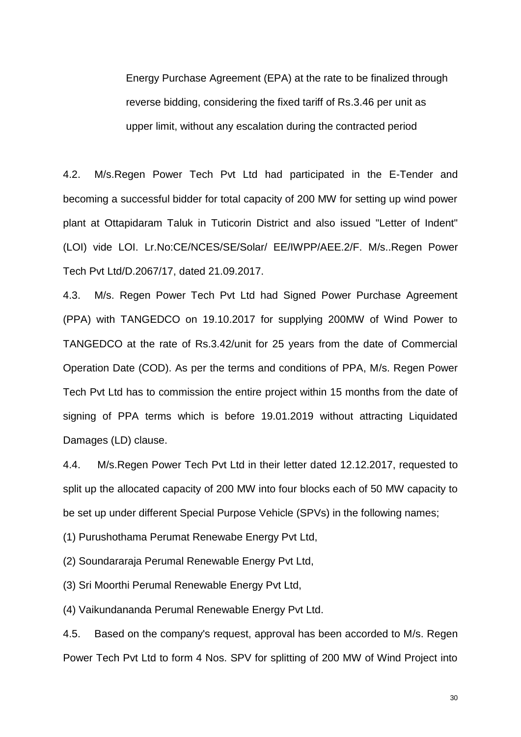Energy Purchase Agreement (EPA) at the rate to be finalized through reverse bidding, considering the fixed tariff of Rs.3.46 per unit as upper limit, without any escalation during the contracted period

4.2. M/s.Regen Power Tech Pvt Ltd had participated in the E-Tender and becoming a successful bidder for total capacity of 200 MW for setting up wind power plant at Ottapidaram Taluk in Tuticorin District and also issued "Letter of Indent" (LOI) vide LOI. Lr.No:CE/NCES/SE/Solar/ EE/IWPP/AEE.2/F. M/s..Regen Power Tech Pvt Ltd/D.2067/17, dated 21.09.2017.

4.3. M/s. Regen Power Tech Pvt Ltd had Signed Power Purchase Agreement (PPA) with TANGEDCO on 19.10.2017 for supplying 200MW of Wind Power to TANGEDCO at the rate of Rs.3.42/unit for 25 years from the date of Commercial Operation Date (COD). As per the terms and conditions of PPA, M/s. Regen Power Tech Pvt Ltd has to commission the entire project within 15 months from the date of signing of PPA terms which is before 19.01.2019 without attracting Liquidated Damages (LD) clause.

4.4. M/s.Regen Power Tech Pvt Ltd in their letter dated 12.12.2017, requested to split up the allocated capacity of 200 MW into four blocks each of 50 MW capacity to be set up under different Special Purpose Vehicle (SPVs) in the following names;

(1) Purushothama Perumat Renewabe Energy Pvt Ltd,

(2) Soundararaja Perumal Renewable Energy Pvt Ltd,

(3) Sri Moorthi Perumal Renewable Energy Pvt Ltd,

(4) Vaikundananda Perumal Renewable Energy Pvt Ltd.

4.5. Based on the company's request, approval has been accorded to M/s. Regen Power Tech Pvt Ltd to form 4 Nos. SPV for splitting of 200 MW of Wind Project into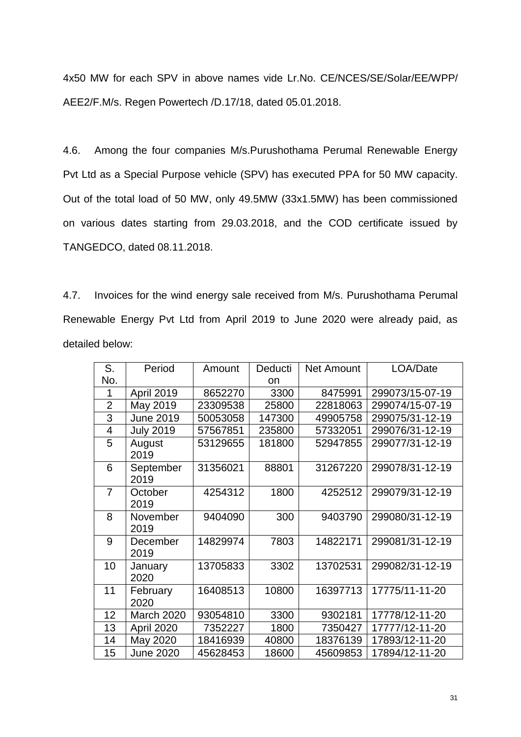4x50 MW for each SPV in above names vide Lr.No. CE/NCES/SE/Solar/EE/WPP/ AEE2/F.M/s. Regen Powertech /D.17/18, dated 05.01.2018.

4.6. Among the four companies M/s.Purushothama Perumal Renewable Energy Pvt Ltd as a Special Purpose vehicle (SPV) has executed PPA for 50 MW capacity. Out of the total load of 50 MW, only 49.5MW (33x1.5MW) has been commissioned on various dates starting from 29.03.2018, and the COD certificate issued by TANGEDCO, dated 08.11.2018.

4.7. Invoices for the wind energy sale received from M/s. Purushothama Perumal Renewable Energy Pvt Ltd from April 2019 to June 2020 were already paid, as detailed below:

| S.             | Period            | Amount   | Deducti | <b>Net Amount</b> | LOA/Date        |
|----------------|-------------------|----------|---------|-------------------|-----------------|
| No.            |                   |          | on      |                   |                 |
| 1              | April 2019        | 8652270  | 3300    | 8475991           | 299073/15-07-19 |
| $\overline{2}$ | May 2019          | 23309538 | 25800   | 22818063          | 299074/15-07-19 |
| $\overline{3}$ | <b>June 2019</b>  | 50053058 | 147300  | 49905758          | 299075/31-12-19 |
| $\overline{4}$ | <b>July 2019</b>  | 57567851 | 235800  | 57332051          | 299076/31-12-19 |
| 5              | August<br>2019    | 53129655 | 181800  | 52947855          | 299077/31-12-19 |
| 6              | September<br>2019 | 31356021 | 88801   | 31267220          | 299078/31-12-19 |
| $\overline{7}$ | October<br>2019   | 4254312  | 1800    | 4252512           | 299079/31-12-19 |
| 8              | November<br>2019  | 9404090  | 300     | 9403790           | 299080/31-12-19 |
| 9              | December<br>2019  | 14829974 | 7803    | 14822171          | 299081/31-12-19 |
| 10             | January<br>2020   | 13705833 | 3302    | 13702531          | 299082/31-12-19 |
| 11             | February<br>2020  | 16408513 | 10800   | 16397713          | 17775/11-11-20  |
| 12             | <b>March 2020</b> | 93054810 | 3300    | 9302181           | 17778/12-11-20  |
| 13             | April 2020        | 7352227  | 1800    | 7350427           | 17777/12-11-20  |
| 14             | May 2020          | 18416939 | 40800   | 18376139          | 17893/12-11-20  |
| 15             | <b>June 2020</b>  | 45628453 | 18600   | 45609853          | 17894/12-11-20  |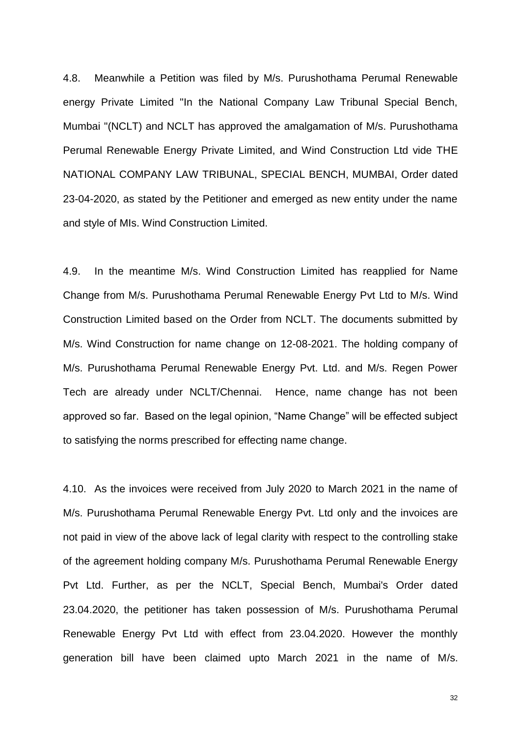4.8. Meanwhile a Petition was filed by M/s. Purushothama Perumal Renewable energy Private Limited "In the National Company Law Tribunal Special Bench, Mumbai "(NCLT) and NCLT has approved the amalgamation of M/s. Purushothama Perumal Renewable Energy Private Limited, and Wind Construction Ltd vide THE NATIONAL COMPANY LAW TRIBUNAL, SPECIAL BENCH, MUMBAI, Order dated 23-04-2020, as stated by the Petitioner and emerged as new entity under the name and style of MIs. Wind Construction Limited.

4.9. In the meantime M/s. Wind Construction Limited has reapplied for Name Change from M/s. Purushothama Perumal Renewable Energy Pvt Ltd to M/s. Wind Construction Limited based on the Order from NCLT. The documents submitted by M/s. Wind Construction for name change on 12-08-2021. The holding company of M/s. Purushothama Perumal Renewable Energy Pvt. Ltd. and M/s. Regen Power Tech are already under NCLT/Chennai. Hence, name change has not been approved so far. Based on the legal opinion, "Name Change" will be effected subject to satisfying the norms prescribed for effecting name change.

4.10. As the invoices were received from July 2020 to March 2021 in the name of M/s. Purushothama Perumal Renewable Energy Pvt. Ltd only and the invoices are not paid in view of the above lack of legal clarity with respect to the controlling stake of the agreement holding company M/s. Purushothama Perumal Renewable Energy Pvt Ltd. Further, as per the NCLT, Special Bench, Mumbai's Order dated 23.04.2020, the petitioner has taken possession of M/s. Purushothama Perumal Renewable Energy Pvt Ltd with effect from 23.04.2020. However the monthly generation bill have been claimed upto March 2021 in the name of M/s.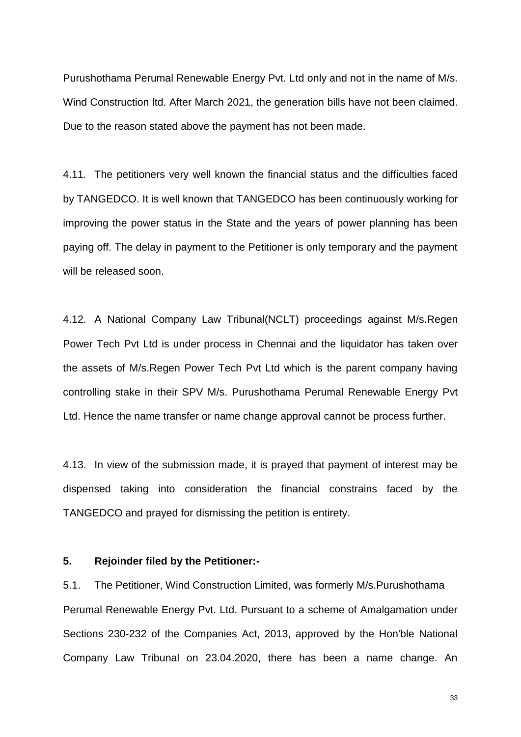Purushothama Perumal Renewable Energy Pvt. Ltd only and not in the name of M/s. Wind Construction ltd. After March 2021, the generation bills have not been claimed. Due to the reason stated above the payment has not been made.

4.11. The petitioners very well known the financial status and the difficulties faced by TANGEDCO. It is well known that TANGEDCO has been continuously working for improving the power status in the State and the years of power planning has been paying off. The delay in payment to the Petitioner is only temporary and the payment will be released soon.

4.12. A National Company Law Tribunal(NCLT) proceedings against M/s.Regen Power Tech Pvt Ltd is under process in Chennai and the liquidator has taken over the assets of M/s.Regen Power Tech Pvt Ltd which is the parent company having controlling stake in their SPV M/s. Purushothama Perumal Renewable Energy Pvt Ltd. Hence the name transfer or name change approval cannot be process further.

4.13. In view of the submission made, it is prayed that payment of interest may be dispensed taking into consideration the financial constrains faced by the TANGEDCO and prayed for dismissing the petition is entirety.

#### **5. Rejoinder filed by the Petitioner:-**

5.1. The Petitioner, Wind Construction Limited, was formerly M/s.Purushothama Perumal Renewable Energy Pvt. Ltd. Pursuant to a scheme of Amalgamation under Sections 230-232 of the Companies Act, 2013, approved by the Hon'ble National Company Law Tribunal on 23.04.2020, there has been a name change. An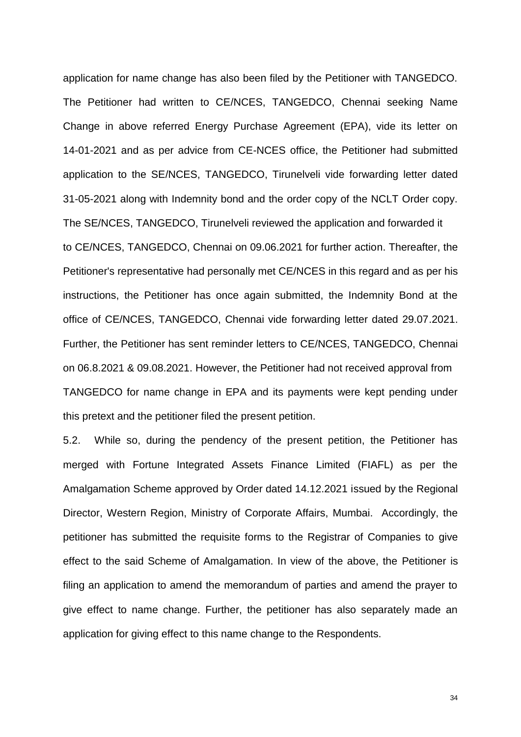application for name change has also been filed by the Petitioner with TANGEDCO. The Petitioner had written to CE/NCES, TANGEDCO, Chennai seeking Name Change in above referred Energy Purchase Agreement (EPA), vide its letter on 14-01-2021 and as per advice from CE-NCES office, the Petitioner had submitted application to the SE/NCES, TANGEDCO, Tirunelveli vide forwarding letter dated 31-05-2021 along with Indemnity bond and the order copy of the NCLT Order copy. The SE/NCES, TANGEDCO, Tirunelveli reviewed the application and forwarded it to CE/NCES, TANGEDCO, Chennai on 09.06.2021 for further action. Thereafter, the Petitioner's representative had personally met CE/NCES in this regard and as per his instructions, the Petitioner has once again submitted, the Indemnity Bond at the office of CE/NCES, TANGEDCO, Chennai vide forwarding letter dated 29.07.2021. Further, the Petitioner has sent reminder letters to CE/NCES, TANGEDCO, Chennai on 06.8.2021 & 09.08.2021. However, the Petitioner had not received approval from TANGEDCO for name change in EPA and its payments were kept pending under this pretext and the petitioner filed the present petition.

5.2. While so, during the pendency of the present petition, the Petitioner has merged with Fortune Integrated Assets Finance Limited (FIAFL) as per the Amalgamation Scheme approved by Order dated 14.12.2021 issued by the Regional Director, Western Region, Ministry of Corporate Affairs, Mumbai. Accordingly, the petitioner has submitted the requisite forms to the Registrar of Companies to give effect to the said Scheme of Amalgamation. In view of the above, the Petitioner is filing an application to amend the memorandum of parties and amend the prayer to give effect to name change. Further, the petitioner has also separately made an application for giving effect to this name change to the Respondents.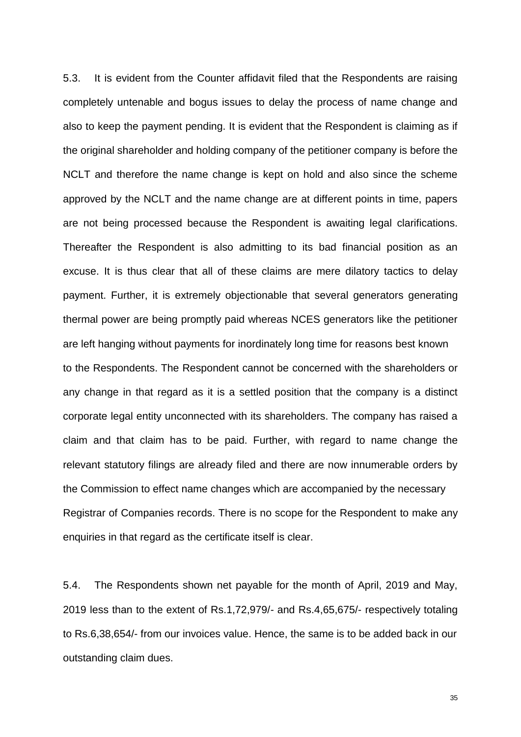5.3. It is evident from the Counter affidavit filed that the Respondents are raising completely untenable and bogus issues to delay the process of name change and also to keep the payment pending. It is evident that the Respondent is claiming as if the original shareholder and holding company of the petitioner company is before the NCLT and therefore the name change is kept on hold and also since the scheme approved by the NCLT and the name change are at different points in time, papers are not being processed because the Respondent is awaiting legal clarifications. Thereafter the Respondent is also admitting to its bad financial position as an excuse. It is thus clear that all of these claims are mere dilatory tactics to delay payment. Further, it is extremely objectionable that several generators generating thermal power are being promptly paid whereas NCES generators like the petitioner are left hanging without payments for inordinately long time for reasons best known to the Respondents. The Respondent cannot be concerned with the shareholders or any change in that regard as it is a settled position that the company is a distinct corporate legal entity unconnected with its shareholders. The company has raised a claim and that claim has to be paid. Further, with regard to name change the relevant statutory filings are already filed and there are now innumerable orders by the Commission to effect name changes which are accompanied by the necessary Registrar of Companies records. There is no scope for the Respondent to make any enquiries in that regard as the certificate itself is clear.

5.4. The Respondents shown net payable for the month of April, 2019 and May, 2019 less than to the extent of Rs.1,72,979/- and Rs.4,65,675/- respectively totaling to Rs.6,38,654/- from our invoices value. Hence, the same is to be added back in our outstanding claim dues.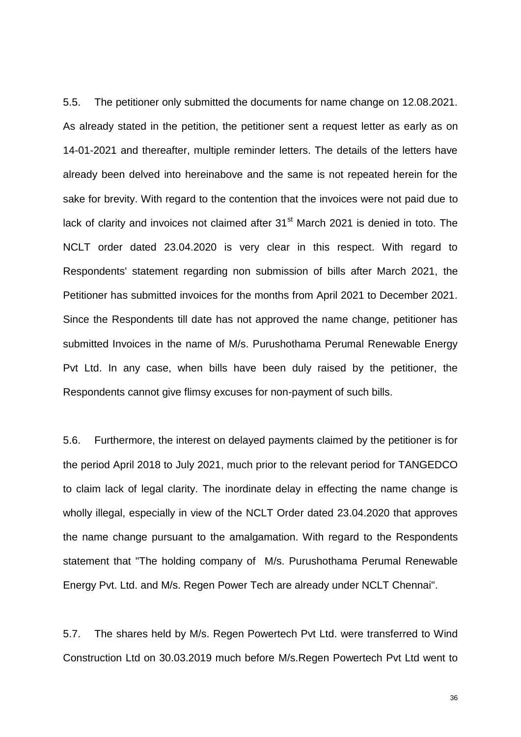5.5. The petitioner only submitted the documents for name change on 12.08.2021. As already stated in the petition, the petitioner sent a request letter as early as on 14-01-2021 and thereafter, multiple reminder letters. The details of the letters have already been delved into hereinabove and the same is not repeated herein for the sake for brevity. With regard to the contention that the invoices were not paid due to lack of clarity and invoices not claimed after  $31<sup>st</sup>$  March 2021 is denied in toto. The NCLT order dated 23.04.2020 is very clear in this respect. With regard to Respondents' statement regarding non submission of bills after March 2021, the Petitioner has submitted invoices for the months from April 2021 to December 2021. Since the Respondents till date has not approved the name change, petitioner has submitted Invoices in the name of M/s. Purushothama Perumal Renewable Energy Pvt Ltd. In any case, when bills have been duly raised by the petitioner, the Respondents cannot give flimsy excuses for non-payment of such bills.

5.6. Furthermore, the interest on delayed payments claimed by the petitioner is for the period April 2018 to July 2021, much prior to the relevant period for TANGEDCO to claim lack of legal clarity. The inordinate delay in effecting the name change is wholly illegal, especially in view of the NCLT Order dated 23.04.2020 that approves the name change pursuant to the amalgamation. With regard to the Respondents statement that "The holding company of M/s. Purushothama Perumal Renewable Energy Pvt. Ltd. and M/s. Regen Power Tech are already under NCLT Chennai".

5.7. The shares held by M/s. Regen Powertech Pvt Ltd. were transferred to Wind Construction Ltd on 30.03.2019 much before M/s.Regen Powertech Pvt Ltd went to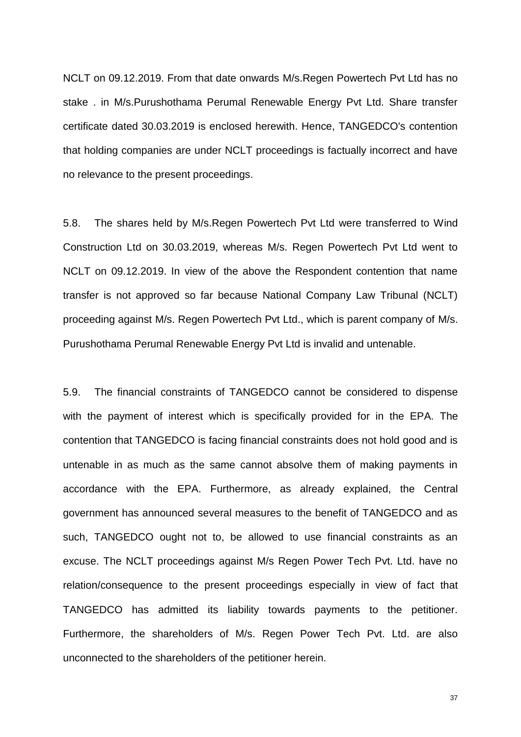NCLT on 09.12.2019. From that date onwards M/s.Regen Powertech Pvt Ltd has no stake . in M/s.Purushothama Perumal Renewable Energy Pvt Ltd. Share transfer certificate dated 30.03.2019 is enclosed herewith. Hence, TANGEDCO's contention that holding companies are under NCLT proceedings is factually incorrect and have no relevance to the present proceedings.

5.8. The shares held by M/s.Regen Powertech Pvt Ltd were transferred to Wind Construction Ltd on 30.03.2019, whereas M/s. Regen Powertech Pvt Ltd went to NCLT on 09.12.2019. In view of the above the Respondent contention that name transfer is not approved so far because National Company Law Tribunal (NCLT) proceeding against M/s. Regen Powertech Pvt Ltd., which is parent company of M/s. Purushothama Perumal Renewable Energy Pvt Ltd is invalid and untenable.

5.9. The financial constraints of TANGEDCO cannot be considered to dispense with the payment of interest which is specifically provided for in the EPA. The contention that TANGEDCO is facing financial constraints does not hold good and is untenable in as much as the same cannot absolve them of making payments in accordance with the EPA. Furthermore, as already explained, the Central government has announced several measures to the benefit of TANGEDCO and as such, TANGEDCO ought not to, be allowed to use financial constraints as an excuse. The NCLT proceedings against M/s Regen Power Tech Pvt. Ltd. have no relation/consequence to the present proceedings especially in view of fact that TANGEDCO has admitted its liability towards payments to the petitioner. Furthermore, the shareholders of M/s. Regen Power Tech Pvt. Ltd. are also unconnected to the shareholders of the petitioner herein.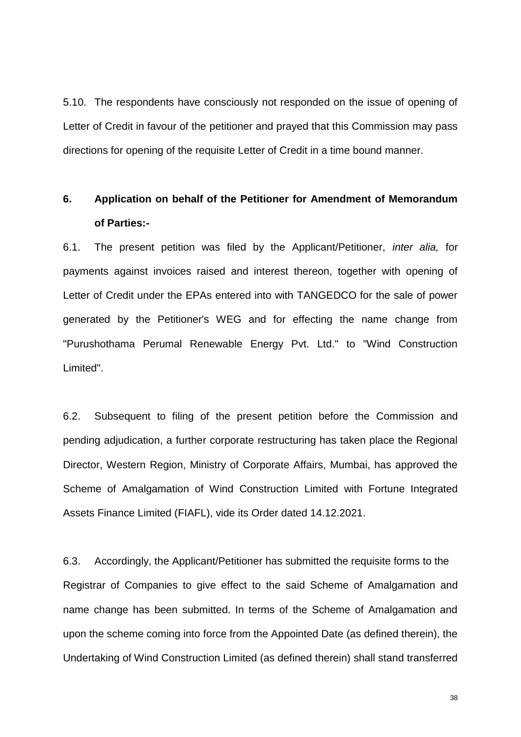5.10. The respondents have consciously not responded on the issue of opening of Letter of Credit in favour of the petitioner and prayed that this Commission may pass directions for opening of the requisite Letter of Credit in a time bound manner.

# **6. Application on behalf of the Petitioner for Amendment of Memorandum of Parties:-**

6.1. The present petition was filed by the Applicant/Petitioner, *inter alia,* for payments against invoices raised and interest thereon, together with opening of Letter of Credit under the EPAs entered into with TANGEDCO for the sale of power generated by the Petitioner's WEG and for effecting the name change from "Purushothama Perumal Renewable Energy Pvt. Ltd." to "Wind Construction Limited".

6.2. Subsequent to filing of the present petition before the Commission and pending adjudication, a further corporate restructuring has taken place the Regional Director, Western Region, Ministry of Corporate Affairs, Mumbai, has approved the Scheme of Amalgamation of Wind Construction Limited with Fortune Integrated Assets Finance Limited (FIAFL), vide its Order dated 14.12.2021.

6.3. Accordingly, the Applicant/Petitioner has submitted the requisite forms to the Registrar of Companies to give effect to the said Scheme of Amalgamation and name change has been submitted. In terms of the Scheme of Amalgamation and upon the scheme coming into force from the Appointed Date (as defined therein), the Undertaking of Wind Construction Limited (as defined therein) shall stand transferred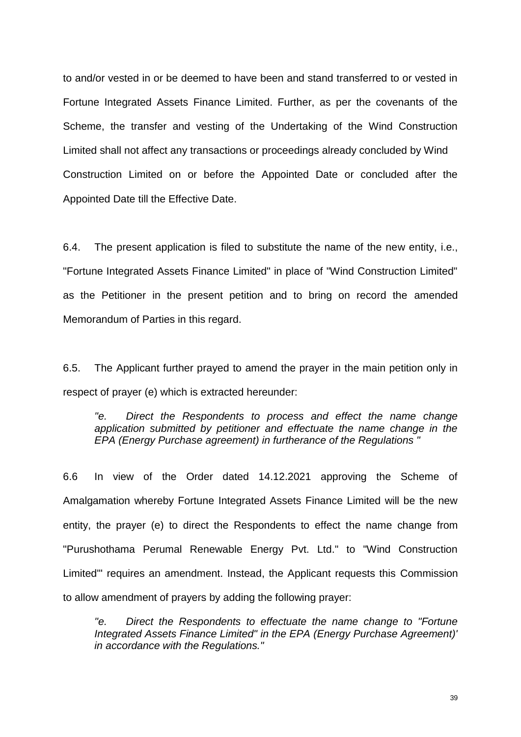to and/or vested in or be deemed to have been and stand transferred to or vested in Fortune Integrated Assets Finance Limited. Further, as per the covenants of the Scheme, the transfer and vesting of the Undertaking of the Wind Construction Limited shall not affect any transactions or proceedings already concluded by Wind Construction Limited on or before the Appointed Date or concluded after the Appointed Date till the Effective Date.

6.4. The present application is filed to substitute the name of the new entity, i.e., "Fortune Integrated Assets Finance Limited" in place of "Wind Construction Limited" as the Petitioner in the present petition and to bring on record the amended Memorandum of Parties in this regard.

6.5. The Applicant further prayed to amend the prayer in the main petition only in respect of prayer (e) which is extracted hereunder:

*"e. Direct the Respondents to process and effect the name change application submitted by petitioner and effectuate the name change in the EPA (Energy Purchase agreement) in furtherance of the Regulations "* 

6.6 In view of the Order dated 14.12.2021 approving the Scheme of Amalgamation whereby Fortune Integrated Assets Finance Limited will be the new entity, the prayer (e) to direct the Respondents to effect the name change from "Purushothama Perumal Renewable Energy Pvt. Ltd." to "Wind Construction Limited'" requires an amendment. Instead, the Applicant requests this Commission to allow amendment of prayers by adding the following prayer:

*"e. Direct the Respondents to effectuate the name change to "Fortune Integrated Assets Finance Limited" in the EPA (Energy Purchase Agreement)' in accordance with the Regulations."*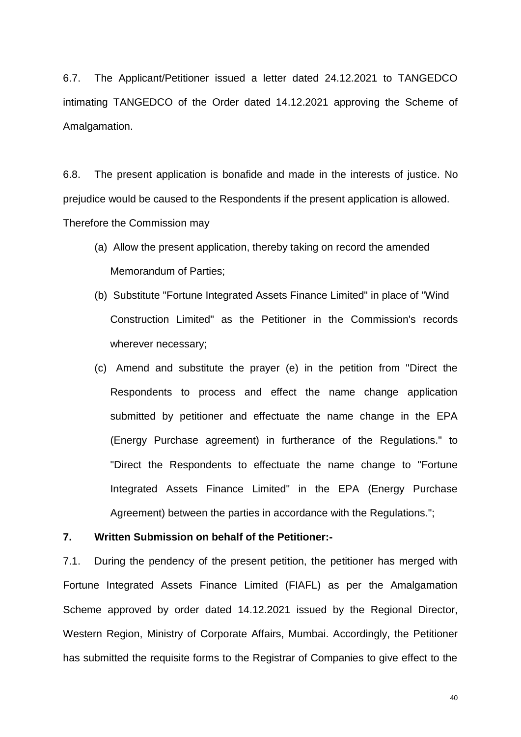6.7. The Applicant/Petitioner issued a letter dated 24.12.2021 to TANGEDCO intimating TANGEDCO of the Order dated 14.12.2021 approving the Scheme of Amalgamation.

6.8. The present application is bonafide and made in the interests of justice. No prejudice would be caused to the Respondents if the present application is allowed. Therefore the Commission may

- (a) Allow the present application, thereby taking on record the amended Memorandum of Parties;
- (b) Substitute "Fortune Integrated Assets Finance Limited" in place of "Wind Construction Limited" as the Petitioner in the Commission's records wherever necessary;
- (c) Amend and substitute the prayer (e) in the petition from "Direct the Respondents to process and effect the name change application submitted by petitioner and effectuate the name change in the EPA (Energy Purchase agreement) in furtherance of the Regulations." to "Direct the Respondents to effectuate the name change to "Fortune Integrated Assets Finance Limited" in the EPA (Energy Purchase Agreement) between the parties in accordance with the Regulations.";

#### **7. Written Submission on behalf of the Petitioner:-**

7.1. During the pendency of the present petition, the petitioner has merged with Fortune Integrated Assets Finance Limited (FIAFL) as per the Amalgamation Scheme approved by order dated 14.12.2021 issued by the Regional Director, Western Region, Ministry of Corporate Affairs, Mumbai. Accordingly, the Petitioner has submitted the requisite forms to the Registrar of Companies to give effect to the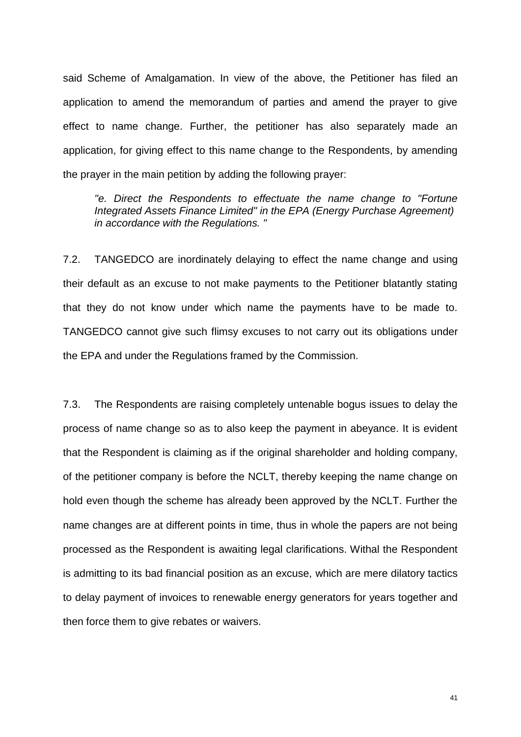said Scheme of Amalgamation. In view of the above, the Petitioner has filed an application to amend the memorandum of parties and amend the prayer to give effect to name change. Further, the petitioner has also separately made an application, for giving effect to this name change to the Respondents, by amending the prayer in the main petition by adding the following prayer:

*"e. Direct the Respondents to effectuate the name change to "Fortune Integrated Assets Finance Limited" in the EPA (Energy Purchase Agreement) in accordance with the Regulations. "* 

7.2. TANGEDCO are inordinately delaying to effect the name change and using their default as an excuse to not make payments to the Petitioner blatantly stating that they do not know under which name the payments have to be made to. TANGEDCO cannot give such flimsy excuses to not carry out its obligations under the EPA and under the Regulations framed by the Commission.

7.3. The Respondents are raising completely untenable bogus issues to delay the process of name change so as to also keep the payment in abeyance. It is evident that the Respondent is claiming as if the original shareholder and holding company, of the petitioner company is before the NCLT, thereby keeping the name change on hold even though the scheme has already been approved by the NCLT. Further the name changes are at different points in time, thus in whole the papers are not being processed as the Respondent is awaiting legal clarifications. Withal the Respondent is admitting to its bad financial position as an excuse, which are mere dilatory tactics to delay payment of invoices to renewable energy generators for years together and then force them to give rebates or waivers.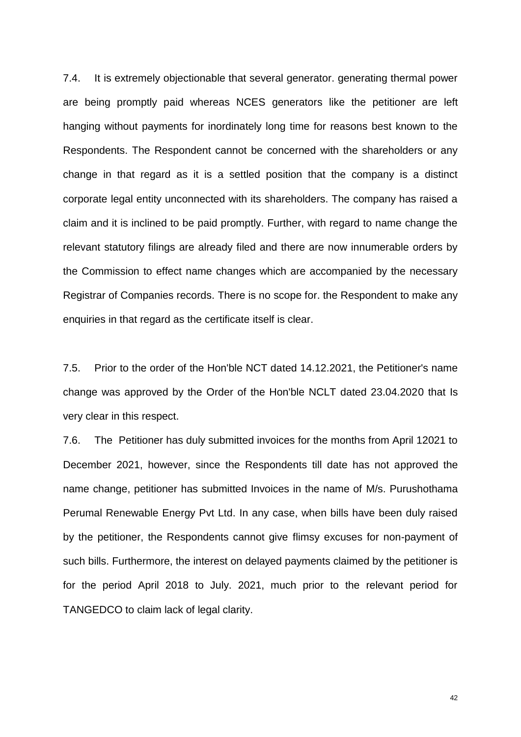7.4. It is extremely objectionable that several generator. generating thermal power are being promptly paid whereas NCES generators like the petitioner are left hanging without payments for inordinately long time for reasons best known to the Respondents. The Respondent cannot be concerned with the shareholders or any change in that regard as it is a settled position that the company is a distinct corporate legal entity unconnected with its shareholders. The company has raised a claim and it is inclined to be paid promptly. Further, with regard to name change the relevant statutory filings are already filed and there are now innumerable orders by the Commission to effect name changes which are accompanied by the necessary Registrar of Companies records. There is no scope for. the Respondent to make any enquiries in that regard as the certificate itself is clear.

7.5. Prior to the order of the Hon'ble NCT dated 14.12.2021, the Petitioner's name change was approved by the Order of the Hon'ble NCLT dated 23.04.2020 that Is very clear in this respect.

7.6. The Petitioner has duly submitted invoices for the months from April 12021 to December 2021, however, since the Respondents till date has not approved the name change, petitioner has submitted Invoices in the name of M/s. Purushothama Perumal Renewable Energy Pvt Ltd. In any case, when bills have been duly raised by the petitioner, the Respondents cannot give flimsy excuses for non-payment of such bills. Furthermore, the interest on delayed payments claimed by the petitioner is for the period April 2018 to July. 2021, much prior to the relevant period for TANGEDCO to claim lack of legal clarity.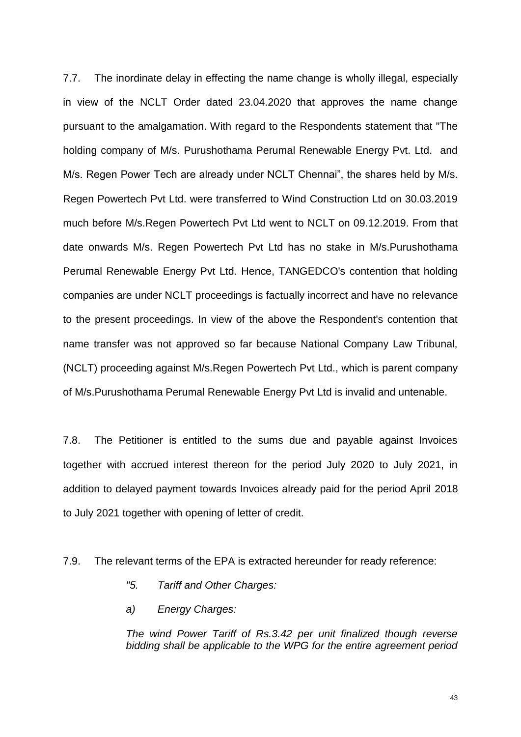7.7. The inordinate delay in effecting the name change is wholly illegal, especially in view of the NCLT Order dated 23.04.2020 that approves the name change pursuant to the amalgamation. With regard to the Respondents statement that "The holding company of M/s. Purushothama Perumal Renewable Energy Pvt. Ltd. and M/s. Regen Power Tech are already under NCLT Chennai", the shares held by M/s. Regen Powertech Pvt Ltd. were transferred to Wind Construction Ltd on 30.03.2019 much before M/s.Regen Powertech Pvt Ltd went to NCLT on 09.12.2019. From that date onwards M/s. Regen Powertech Pvt Ltd has no stake in M/s.Purushothama Perumal Renewable Energy Pvt Ltd. Hence, TANGEDCO's contention that holding companies are under NCLT proceedings is factually incorrect and have no relevance to the present proceedings. In view of the above the Respondent's contention that name transfer was not approved so far because National Company Law Tribunal, (NCLT) proceeding against M/s.Regen Powertech Pvt Ltd., which is parent company of M/s.Purushothama Perumal Renewable Energy Pvt Ltd is invalid and untenable.

7.8. The Petitioner is entitled to the sums due and payable against Invoices together with accrued interest thereon for the period July 2020 to July 2021, in addition to delayed payment towards Invoices already paid for the period April 2018 to July 2021 together with opening of letter of credit.

7.9. The relevant terms of the EPA is extracted hereunder for ready reference:

- *"5. Tariff and Other Charges:*
- *a) Energy Charges:*

*The wind Power Tariff of Rs.3.42 per unit finalized though reverse bidding shall be applicable to the WPG for the entire agreement period*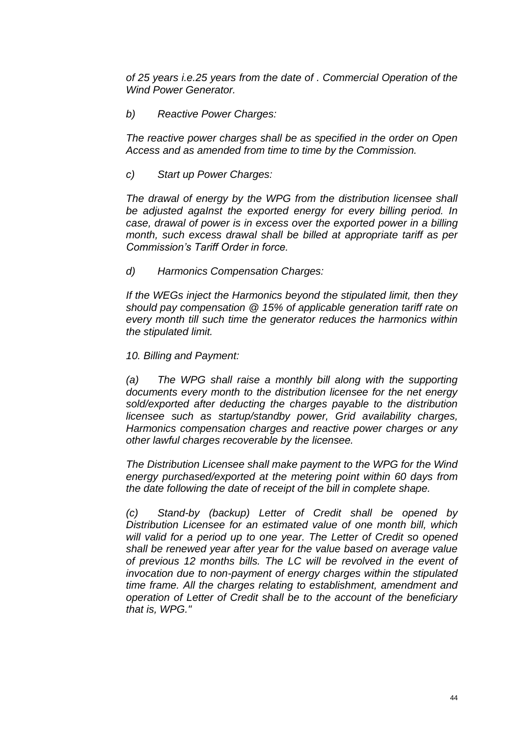*of 25 years i.e.25 years from the date of . Commercial Operation of the Wind Power Generator.* 

*b) Reactive Power Charges:* 

*The reactive power charges shall be as specified in the order on Open Access and as amended from time to time by the Commission.* 

*c) Start up Power Charges:* 

*The drawal of energy by the WPG from the distribution licensee shall be adjusted agaInst the exported energy for every billing period. In case, drawal of power is in excess over the exported power in a billing month, such excess drawal shall be billed at appropriate tariff as per Commission's Tariff Order in force.*

*d) Harmonics Compensation Charges:*

*If the WEGs inject the Harmonics beyond the stipulated limit, then they should pay compensation @ 15% of applicable generation tariff rate on every month till such time the generator reduces the harmonics within the stipulated limit.* 

*10. Billing and Payment:* 

*(a) The WPG shall raise a monthly bill along with the supporting documents every month to the distribution licensee for the net energy sold/exported after deducting the charges payable to the distribution licensee such as startup/standby power, Grid availability charges, Harmonics compensation charges and reactive power charges or any other lawful charges recoverable by the licensee.* 

*The Distribution Licensee shall make payment to the WPG for the Wind energy purchased/exported at the metering point within 60 days from the date following the date of receipt of the bill in complete shape.* 

*(c) Stand-by (backup) Letter of Credit shall be opened by Distribution Licensee for an estimated value of one month bill, which will valid for a period up to one year. The Letter of Credit so opened shall be renewed year after year for the value based on average value of previous 12 months bills. The LC will be revolved in the event of invocation due to non-payment of energy charges within the stipulated time frame. All the charges relating to establishment, amendment and operation of Letter of Credit shall be to the account of the beneficiary that is, WPG."*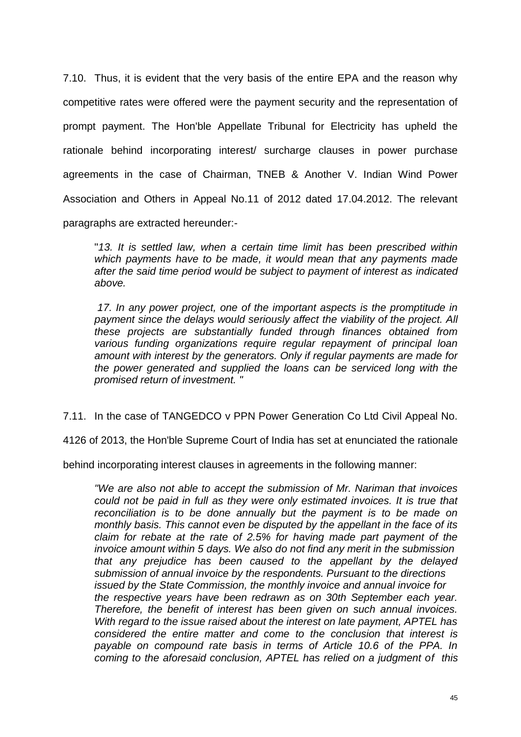7.10. Thus, it is evident that the very basis of the entire EPA and the reason why competitive rates were offered were the payment security and the representation of prompt payment. The Hon'ble Appellate Tribunal for Electricity has upheld the rationale behind incorporating interest/ surcharge clauses in power purchase agreements in the case of Chairman, TNEB & Another V. Indian Wind Power Association and Others in Appeal No.11 of 2012 dated 17.04.2012. The relevant paragraphs are extracted hereunder:-

"*13. It is settled law, when a certain time limit has been prescribed within which payments have to be made, it would mean that any payments made after the said time period would be subject to payment of interest as indicated above.* 

*17. In any power project, one of the important aspects is the promptitude in payment since the delays would seriously affect the viability of the project. All these projects are substantially funded through finances obtained from various funding organizations require regular repayment of principal loan amount with interest by the generators. Only if regular payments are made for the power generated and supplied the loans can be serviced long with the promised return of investment. "* 

7.11. In the case of TANGEDCO v PPN Power Generation Co Ltd Civil Appeal No.

4126 of 2013, the Hon'ble Supreme Court of India has set at enunciated the rationale

behind incorporating interest clauses in agreements in the following manner:

*"We are also not able to accept the submission of Mr. Nariman that invoices could not be paid in full as they were only estimated invoices. It is true that reconciliation is to be done annually but the payment is to be made on monthly basis. This cannot even be disputed by the appellant in the face of its claim for rebate at the rate of 2.5% for having made part payment of the invoice amount within 5 days. We also do not find any merit in the submission that any prejudice has been caused to the appellant by the delayed submission of annual invoice by the respondents. Pursuant to the directions issued by the State Commission, the monthly invoice and annual invoice for the respective years have been redrawn as on 30th September each year. Therefore, the benefit of interest has been given on such annual invoices. With regard to the issue raised about the interest on late payment, APTEL has considered the entire matter and come to the conclusion that interest is payable on compound rate basis in terms of Article 10.6 of the PPA. In coming to the aforesaid conclusion, APTEL has relied on a judgment of this*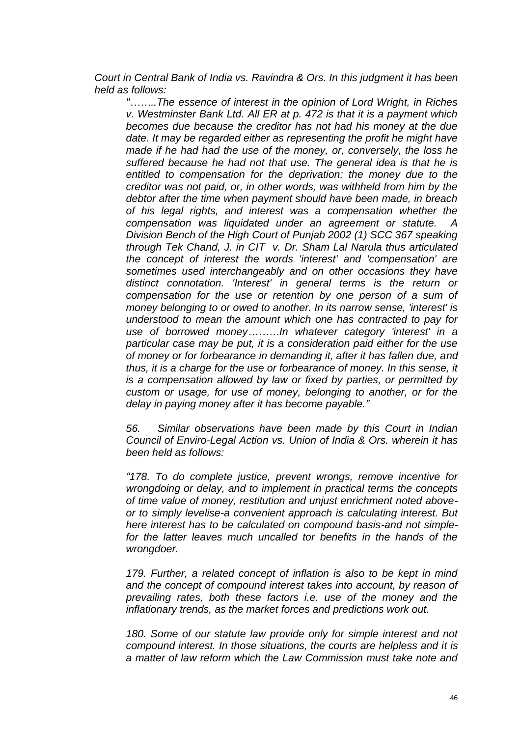*Court in Central Bank of India vs. Ravindra & Ors. In this judgment it has been held as follows:* 

*"……..The essence of interest in the opinion of Lord Wright, in Riches v. Westminster Bank Ltd. All ER at p. 472 is that it is a payment which becomes due because the creditor has not had his money at the due date. It may be regarded either as representing the profit he might have made if he had had the use of the money, or, conversely, the loss he suffered because he had not that use. The general idea is that he is entitled to compensation for the deprivation; the money due to the creditor was not paid, or, in other words, was withheld from him by the debtor after the time when payment should have been made, in breach of his legal rights, and interest was a compensation whether the compensation was liquidated under an agreement or statute. A Division Bench of the High Court of Punjab 2002 (1) SCC 367 speaking through Tek Chand, J. in CIT v. Dr. Sham Lal Narula thus articulated the concept of interest the words 'interest' and 'compensation' are sometimes used interchangeably and on other occasions they have distinct connotation. 'Interest' in general terms is the return or compensation for the use or retention by one person of a sum of money belonging to or owed to another. In its narrow sense, 'interest' is understood to mean the amount which one has contracted to pay for use of borrowed money………In whatever category 'interest' in a particular case may be put, it is a consideration paid either for the use of money or for forbearance in demanding it, after it has fallen due, and thus, it is a charge for the use or forbearance of money. In this sense, it is a compensation allowed by law or fixed by parties, or permitted by custom or usage, for use of money, belonging to another, or for the delay in paying money after it has become payable."*

*56. Similar observations have been made by this Court in Indian Council of Enviro-Legal Action vs. Union of India & Ors. wherein it has been held as follows:* 

*"178. To do complete justice, prevent wrongs, remove incentive for wrongdoing or delay, and to implement in practical terms the concepts of time value of money, restitution and unjust enrichment noted aboveor to simply levelise-a convenient approach is calculating interest. But here interest has to be calculated on compound basis-and not simplefor the latter leaves much uncalled tor benefits in the hands of the wrongdoer.* 

*179. Further, a related concept of inflation is also to be kept in mind and the concept of compound interest takes into account, by reason of prevailing rates, both these factors i.e. use of the money and the inflationary trends, as the market forces and predictions work out.* 

*180. Some of our statute law provide only for simple interest and not compound interest. In those situations, the courts are helpless and it is a matter of law reform which the Law Commission must take note and*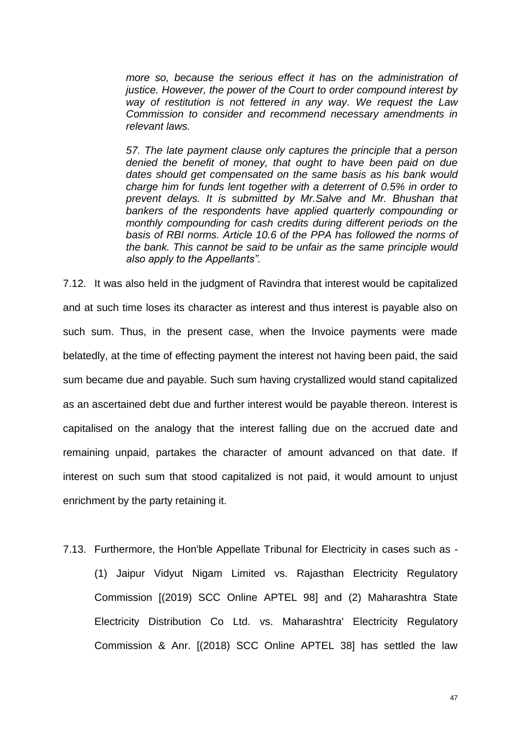*more so, because the serious effect it has on the administration of justice. However, the power of the Court to order compound interest by way of restitution is not fettered in any way. We request the Law Commission to consider and recommend necessary amendments in relevant laws.* 

*57. The late payment clause only captures the principle that a person denied the benefit of money, that ought to have been paid on due dates should get compensated on the same basis as his bank would charge him for funds lent together with a deterrent of 0.5% in order to prevent delays. It is submitted by Mr.Salve and Mr. Bhushan that bankers of the respondents have applied quarterly compounding or monthly compounding for cash credits during different periods on the basis of RBI norms. Article 10.6 of the PPA has followed the norms of the bank. This cannot be said to be unfair as the same principle would also apply to the Appellants".*

7.12. It was also held in the judgment of Ravindra that interest would be capitalized and at such time loses its character as interest and thus interest is payable also on such sum. Thus, in the present case, when the Invoice payments were made belatedly, at the time of effecting payment the interest not having been paid, the said sum became due and payable. Such sum having crystallized would stand capitalized as an ascertained debt due and further interest would be payable thereon. Interest is capitalised on the analogy that the interest falling due on the accrued date and remaining unpaid, partakes the character of amount advanced on that date. If interest on such sum that stood capitalized is not paid, it would amount to unjust enrichment by the party retaining it.

7.13. Furthermore, the Hon'ble Appellate Tribunal for Electricity in cases such as - (1) Jaipur Vidyut Nigam Limited vs. Rajasthan Electricity Regulatory Commission [(2019) SCC Online APTEL 98] and (2) Maharashtra State Electricity Distribution Co Ltd. vs. Maharashtra' Electricity Regulatory Commission & Anr. [(2018) SCC Online APTEL 38] has settled the law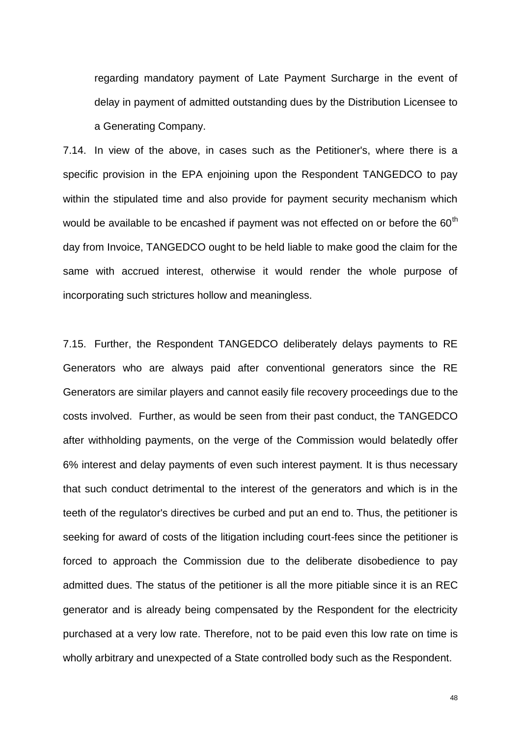regarding mandatory payment of Late Payment Surcharge in the event of delay in payment of admitted outstanding dues by the Distribution Licensee to a Generating Company.

7.14. In view of the above, in cases such as the Petitioner's, where there is a specific provision in the EPA enjoining upon the Respondent TANGEDCO to pay within the stipulated time and also provide for payment security mechanism which would be available to be encashed if payment was not effected on or before the  $60<sup>th</sup>$ day from Invoice, TANGEDCO ought to be held liable to make good the claim for the same with accrued interest, otherwise it would render the whole purpose of incorporating such strictures hollow and meaningless.

7.15. Further, the Respondent TANGEDCO deliberately delays payments to RE Generators who are always paid after conventional generators since the RE Generators are similar players and cannot easily file recovery proceedings due to the costs involved. Further, as would be seen from their past conduct, the TANGEDCO after withholding payments, on the verge of the Commission would belatedly offer 6% interest and delay payments of even such interest payment. It is thus necessary that such conduct detrimental to the interest of the generators and which is in the teeth of the regulator's directives be curbed and put an end to. Thus, the petitioner is seeking for award of costs of the litigation including court-fees since the petitioner is forced to approach the Commission due to the deliberate disobedience to pay admitted dues. The status of the petitioner is all the more pitiable since it is an REC generator and is already being compensated by the Respondent for the electricity purchased at a very low rate. Therefore, not to be paid even this low rate on time is wholly arbitrary and unexpected of a State controlled body such as the Respondent.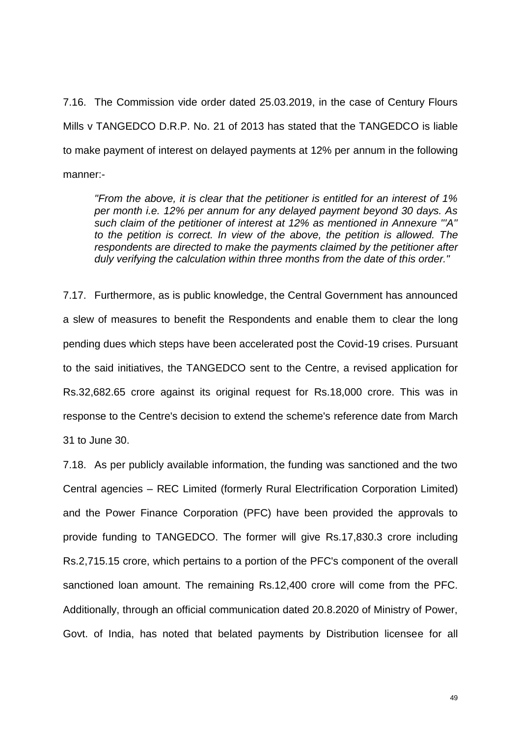7.16. The Commission vide order dated 25.03.2019, in the case of Century Flours Mills v TANGEDCO D.R.P. No. 21 of 2013 has stated that the TANGEDCO is liable to make payment of interest on delayed payments at 12% per annum in the following manner:-

*"From the above, it is clear that the petitioner is entitled for an interest of 1% per month i.e. 12% per annum for any delayed payment beyond 30 days. As such claim of the petitioner of interest at 12% as mentioned in Annexure '''A'' to the petition is correct. In view of the above, the petition is allowed. The respondents are directed to make the payments claimed by the petitioner after duly verifying the calculation within three months from the date of this order."* 

7.17. Furthermore, as is public knowledge, the Central Government has announced a slew of measures to benefit the Respondents and enable them to clear the long pending dues which steps have been accelerated post the Covid-19 crises. Pursuant to the said initiatives, the TANGEDCO sent to the Centre, a revised application for Rs.32,682.65 crore against its original request for Rs.18,000 crore. This was in response to the Centre's decision to extend the scheme's reference date from March 31 to June 30.

7.18. As per publicly available information, the funding was sanctioned and the two Central agencies – REC Limited (formerly Rural Electrification Corporation Limited) and the Power Finance Corporation (PFC) have been provided the approvals to provide funding to TANGEDCO. The former will give Rs.17,830.3 crore including Rs.2,715.15 crore, which pertains to a portion of the PFC's component of the overall sanctioned loan amount. The remaining Rs.12,400 crore will come from the PFC. Additionally, through an official communication dated 20.8.2020 of Ministry of Power, Govt. of India, has noted that belated payments by Distribution licensee for all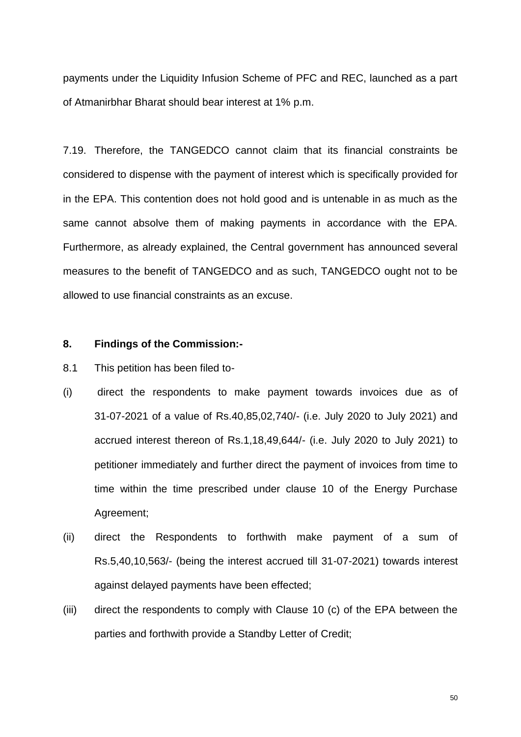payments under the Liquidity Infusion Scheme of PFC and REC, launched as a part of Atmanirbhar Bharat should bear interest at 1% p.m.

7.19. Therefore, the TANGEDCO cannot claim that its financial constraints be considered to dispense with the payment of interest which is specifically provided for in the EPA. This contention does not hold good and is untenable in as much as the same cannot absolve them of making payments in accordance with the EPA. Furthermore, as already explained, the Central government has announced several measures to the benefit of TANGEDCO and as such, TANGEDCO ought not to be allowed to use financial constraints as an excuse.

## **8. Findings of the Commission:-**

- 8.1 This petition has been filed to-
- (i) direct the respondents to make payment towards invoices due as of 31-07-2021 of a value of Rs.40,85,02,740/- (i.e. July 2020 to July 2021) and accrued interest thereon of Rs.1,18,49,644/- (i.e. July 2020 to July 2021) to petitioner immediately and further direct the payment of invoices from time to time within the time prescribed under clause 10 of the Energy Purchase Agreement;
- (ii) direct the Respondents to forthwith make payment of a sum of Rs.5,40,10,563/- (being the interest accrued till 31-07-2021) towards interest against delayed payments have been effected;
- (iii) direct the respondents to comply with Clause 10 (c) of the EPA between the parties and forthwith provide a Standby Letter of Credit;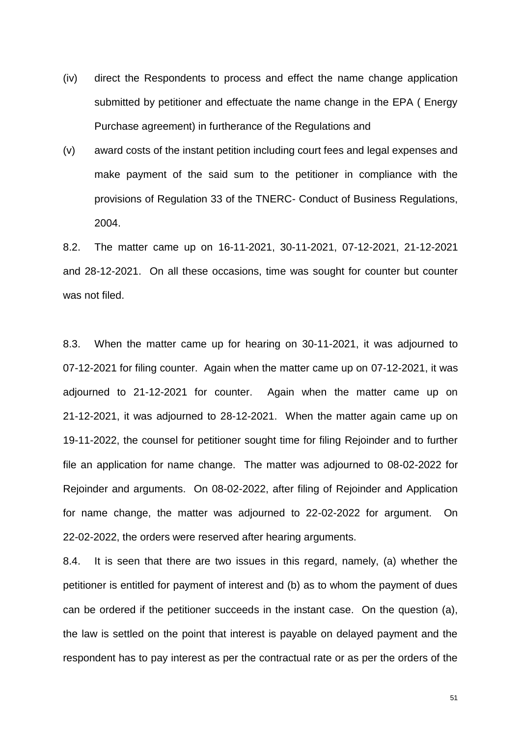- (iv) direct the Respondents to process and effect the name change application submitted by petitioner and effectuate the name change in the EPA ( Energy Purchase agreement) in furtherance of the Regulations and
- (v) award costs of the instant petition including court fees and legal expenses and make payment of the said sum to the petitioner in compliance with the provisions of Regulation 33 of the TNERC- Conduct of Business Regulations, 2004.

8.2. The matter came up on 16-11-2021, 30-11-2021, 07-12-2021, 21-12-2021 and 28-12-2021. On all these occasions, time was sought for counter but counter was not filed.

8.3. When the matter came up for hearing on 30-11-2021, it was adjourned to 07-12-2021 for filing counter. Again when the matter came up on 07-12-2021, it was adjourned to 21-12-2021 for counter. Again when the matter came up on 21-12-2021, it was adjourned to 28-12-2021. When the matter again came up on 19-11-2022, the counsel for petitioner sought time for filing Rejoinder and to further file an application for name change. The matter was adjourned to 08-02-2022 for Rejoinder and arguments. On 08-02-2022, after filing of Rejoinder and Application for name change, the matter was adjourned to 22-02-2022 for argument. On 22-02-2022, the orders were reserved after hearing arguments.

8.4. It is seen that there are two issues in this regard, namely, (a) whether the petitioner is entitled for payment of interest and (b) as to whom the payment of dues can be ordered if the petitioner succeeds in the instant case. On the question (a), the law is settled on the point that interest is payable on delayed payment and the respondent has to pay interest as per the contractual rate or as per the orders of the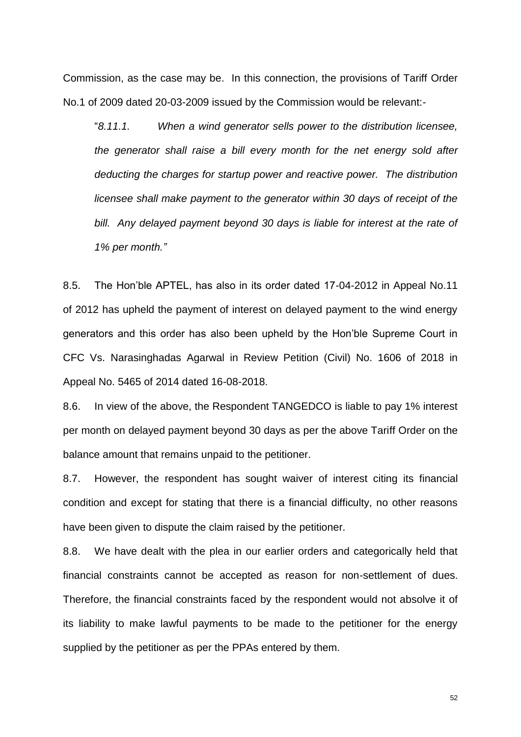Commission, as the case may be. In this connection, the provisions of Tariff Order No.1 of 2009 dated 20-03-2009 issued by the Commission would be relevant:-

"*8.11.1. When a wind generator sells power to the distribution licensee, the generator shall raise a bill every month for the net energy sold after deducting the charges for startup power and reactive power. The distribution licensee shall make payment to the generator within 30 days of receipt of the bill. Any delayed payment beyond 30 days is liable for interest at the rate of 1% per month."*

8.5. The Hon'ble APTEL, has also in its order dated 17-04-2012 in Appeal No.11 of 2012 has upheld the payment of interest on delayed payment to the wind energy generators and this order has also been upheld by the Hon'ble Supreme Court in CFC Vs. Narasinghadas Agarwal in Review Petition (Civil) No. 1606 of 2018 in Appeal No. 5465 of 2014 dated 16-08-2018.

8.6. In view of the above, the Respondent TANGEDCO is liable to pay 1% interest per month on delayed payment beyond 30 days as per the above Tariff Order on the balance amount that remains unpaid to the petitioner.

8.7. However, the respondent has sought waiver of interest citing its financial condition and except for stating that there is a financial difficulty, no other reasons have been given to dispute the claim raised by the petitioner.

8.8. We have dealt with the plea in our earlier orders and categorically held that financial constraints cannot be accepted as reason for non-settlement of dues. Therefore, the financial constraints faced by the respondent would not absolve it of its liability to make lawful payments to be made to the petitioner for the energy supplied by the petitioner as per the PPAs entered by them.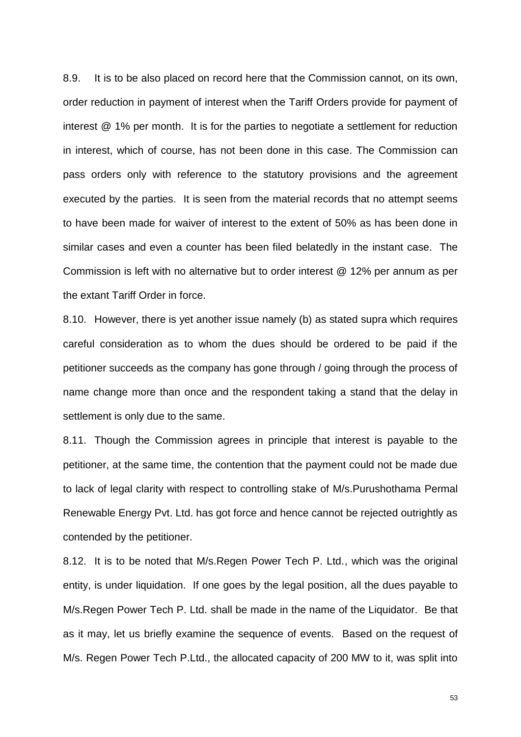8.9. It is to be also placed on record here that the Commission cannot, on its own, order reduction in payment of interest when the Tariff Orders provide for payment of interest @ 1% per month. It is for the parties to negotiate a settlement for reduction in interest, which of course, has not been done in this case. The Commission can pass orders only with reference to the statutory provisions and the agreement executed by the parties. It is seen from the material records that no attempt seems to have been made for waiver of interest to the extent of 50% as has been done in similar cases and even a counter has been filed belatedly in the instant case. The Commission is left with no alternative but to order interest @ 12% per annum as per the extant Tariff Order in force.

8.10. However, there is yet another issue namely (b) as stated supra which requires careful consideration as to whom the dues should be ordered to be paid if the petitioner succeeds as the company has gone through / going through the process of name change more than once and the respondent taking a stand that the delay in settlement is only due to the same.

8.11. Though the Commission agrees in principle that interest is payable to the petitioner, at the same time, the contention that the payment could not be made due to lack of legal clarity with respect to controlling stake of M/s.Purushothama Permal Renewable Energy Pvt. Ltd. has got force and hence cannot be rejected outrightly as contended by the petitioner.

8.12. It is to be noted that M/s.Regen Power Tech P. Ltd., which was the original entity, is under liquidation. If one goes by the legal position, all the dues payable to M/s.Regen Power Tech P. Ltd. shall be made in the name of the Liquidator. Be that as it may, let us briefly examine the sequence of events. Based on the request of M/s. Regen Power Tech P.Ltd., the allocated capacity of 200 MW to it, was split into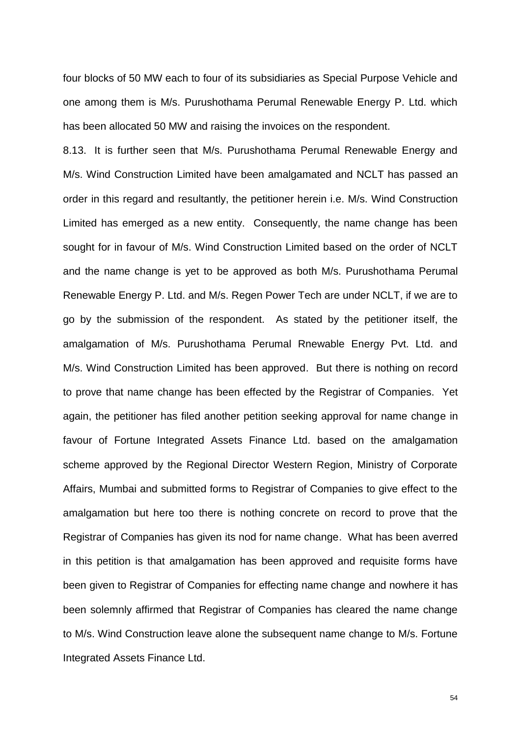four blocks of 50 MW each to four of its subsidiaries as Special Purpose Vehicle and one among them is M/s. Purushothama Perumal Renewable Energy P. Ltd. which has been allocated 50 MW and raising the invoices on the respondent.

8.13. It is further seen that M/s. Purushothama Perumal Renewable Energy and M/s. Wind Construction Limited have been amalgamated and NCLT has passed an order in this regard and resultantly, the petitioner herein i.e. M/s. Wind Construction Limited has emerged as a new entity. Consequently, the name change has been sought for in favour of M/s. Wind Construction Limited based on the order of NCLT and the name change is yet to be approved as both M/s. Purushothama Perumal Renewable Energy P. Ltd. and M/s. Regen Power Tech are under NCLT, if we are to go by the submission of the respondent. As stated by the petitioner itself, the amalgamation of M/s. Purushothama Perumal Rnewable Energy Pvt. Ltd. and M/s. Wind Construction Limited has been approved. But there is nothing on record to prove that name change has been effected by the Registrar of Companies. Yet again, the petitioner has filed another petition seeking approval for name change in favour of Fortune Integrated Assets Finance Ltd. based on the amalgamation scheme approved by the Regional Director Western Region, Ministry of Corporate Affairs, Mumbai and submitted forms to Registrar of Companies to give effect to the amalgamation but here too there is nothing concrete on record to prove that the Registrar of Companies has given its nod for name change. What has been averred in this petition is that amalgamation has been approved and requisite forms have been given to Registrar of Companies for effecting name change and nowhere it has been solemnly affirmed that Registrar of Companies has cleared the name change to M/s. Wind Construction leave alone the subsequent name change to M/s. Fortune Integrated Assets Finance Ltd.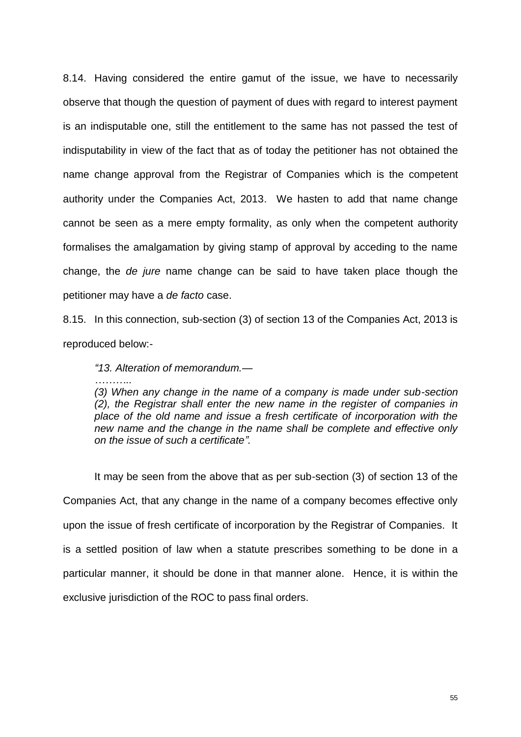8.14. Having considered the entire gamut of the issue, we have to necessarily observe that though the question of payment of dues with regard to interest payment is an indisputable one, still the entitlement to the same has not passed the test of indisputability in view of the fact that as of today the petitioner has not obtained the name change approval from the Registrar of Companies which is the competent authority under the Companies Act, 2013. We hasten to add that name change cannot be seen as a mere empty formality, as only when the competent authority formalises the amalgamation by giving stamp of approval by acceding to the name change, the *de jure* name change can be said to have taken place though the petitioner may have a *de facto* case.

8.15. In this connection, sub-section (3) of section 13 of the Companies Act, 2013 is reproduced below:-

*"13. Alteration of memorandum.—*

*………..*

*(3) When any change in the name of a company is made under sub-section (2), the Registrar shall enter the new name in the register of companies in place of the old name and issue a fresh certificate of incorporation with the new name and the change in the name shall be complete and effective only on the issue of such a certificate".* 

It may be seen from the above that as per sub-section (3) of section 13 of the Companies Act, that any change in the name of a company becomes effective only upon the issue of fresh certificate of incorporation by the Registrar of Companies. It is a settled position of law when a statute prescribes something to be done in a particular manner, it should be done in that manner alone. Hence, it is within the exclusive jurisdiction of the ROC to pass final orders.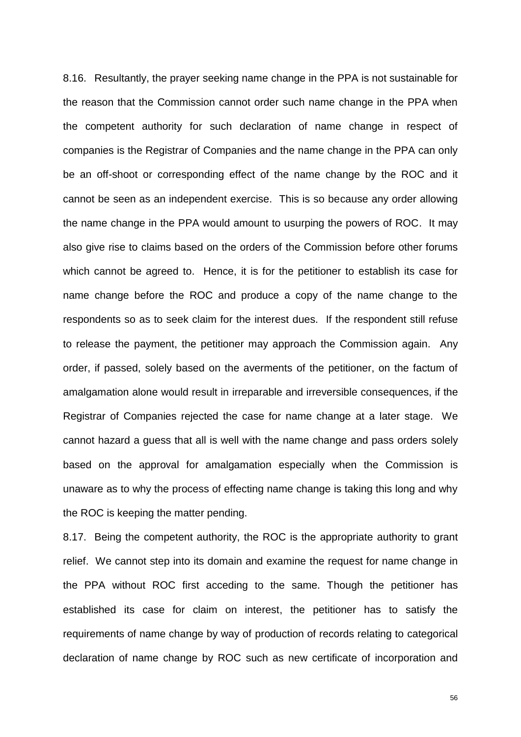8.16. Resultantly, the prayer seeking name change in the PPA is not sustainable for the reason that the Commission cannot order such name change in the PPA when the competent authority for such declaration of name change in respect of companies is the Registrar of Companies and the name change in the PPA can only be an off-shoot or corresponding effect of the name change by the ROC and it cannot be seen as an independent exercise. This is so because any order allowing the name change in the PPA would amount to usurping the powers of ROC. It may also give rise to claims based on the orders of the Commission before other forums which cannot be agreed to. Hence, it is for the petitioner to establish its case for name change before the ROC and produce a copy of the name change to the respondents so as to seek claim for the interest dues. If the respondent still refuse to release the payment, the petitioner may approach the Commission again. Any order, if passed, solely based on the averments of the petitioner, on the factum of amalgamation alone would result in irreparable and irreversible consequences, if the Registrar of Companies rejected the case for name change at a later stage. We cannot hazard a guess that all is well with the name change and pass orders solely based on the approval for amalgamation especially when the Commission is unaware as to why the process of effecting name change is taking this long and why the ROC is keeping the matter pending.

8.17. Being the competent authority, the ROC is the appropriate authority to grant relief. We cannot step into its domain and examine the request for name change in the PPA without ROC first acceding to the same. Though the petitioner has established its case for claim on interest, the petitioner has to satisfy the requirements of name change by way of production of records relating to categorical declaration of name change by ROC such as new certificate of incorporation and